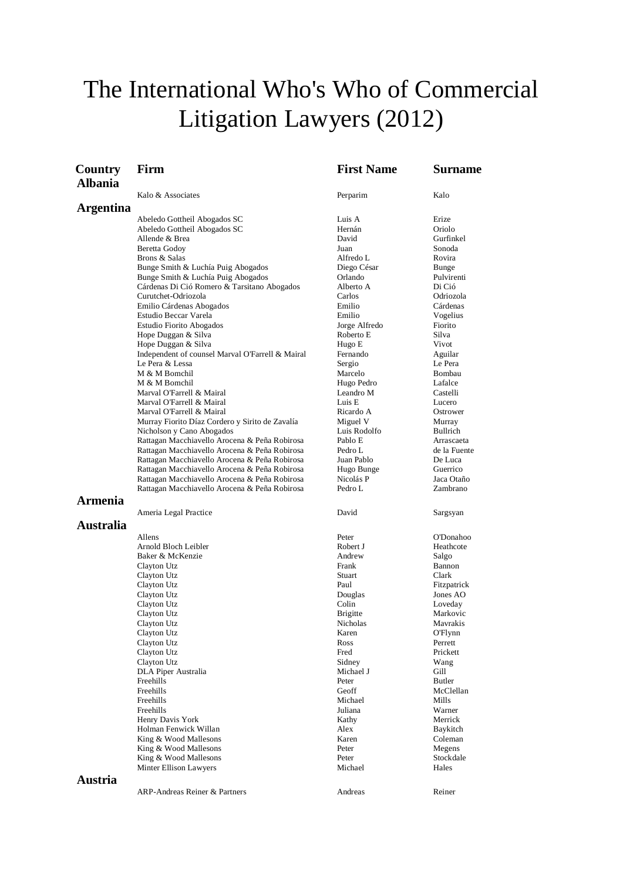# The International Who's Who of Commercial Litigation Lawyers (2012)

| Country          | Firm                                                                         | <b>First Name</b>        | Surname             |
|------------------|------------------------------------------------------------------------------|--------------------------|---------------------|
| <b>Albania</b>   |                                                                              |                          |                     |
|                  | Kalo & Associates                                                            | Perparim                 | Kalo                |
| Argentina        |                                                                              |                          |                     |
|                  | Abeledo Gottheil Abogados SC                                                 | Luis A                   | Erize               |
|                  | Abeledo Gottheil Abogados SC                                                 | Hernán                   | Oriolo              |
|                  | Allende & Brea                                                               | David                    | Gurfinkel           |
|                  | Beretta Godoy                                                                | Juan                     | Sonoda              |
|                  | Brons & Salas                                                                | Alfredo L                | Rovira              |
|                  | Bunge Smith & Luchía Puig Abogados                                           | Diego César              | Bunge               |
|                  | Bunge Smith & Luchía Puig Abogados                                           | Orlando<br>Alberto A     | Pulvirenti          |
|                  | Cárdenas Di Ció Romero & Tarsitano Abogados<br>Curutchet-Odriozola           | Carlos                   | Di Ció<br>Odriozola |
|                  | Emilio Cárdenas Abogados                                                     | Emilio                   | Cárdenas            |
|                  | Estudio Beccar Varela                                                        | Emilio                   | Vogelius            |
|                  | Estudio Fiorito Abogados                                                     | Jorge Alfredo            | Fiorito             |
|                  | Hope Duggan & Silva                                                          | Roberto E                | Silva               |
|                  | Hope Duggan & Silva                                                          | Hugo E                   | Vivot               |
|                  | Independent of counsel Marval O'Farrell & Mairal                             | Fernando                 | Aguilar             |
|                  | Le Pera & Lessa                                                              | Sergio                   | Le Pera             |
|                  | M & M Bomchil                                                                | Marcelo                  | Bombau              |
|                  | M & M Bomchil                                                                | Hugo Pedro               | Lafalce             |
|                  | Marval O'Farrell & Mairal                                                    | Leandro M                | Castelli            |
|                  | Marval O'Farrell & Mairal                                                    | Luis E                   | Lucero              |
|                  | Marval O'Farrell & Mairal                                                    | Ricardo A                | Ostrower            |
|                  | Murray Fiorito Díaz Cordero y Sirito de Zavalía<br>Nicholson y Cano Abogados | Miguel V<br>Luis Rodolfo | Murray<br>Bullrich  |
|                  | Rattagan Macchiavello Arocena & Peña Robirosa                                | Pablo E                  | Arrascaeta          |
|                  | Rattagan Macchiavello Arocena & Peña Robirosa                                | Pedro L                  | de la Fuente        |
|                  | Rattagan Macchiavello Arocena & Peña Robirosa                                | Juan Pablo               | De Luca             |
|                  | Rattagan Macchiavello Arocena & Peña Robirosa                                | Hugo Bunge               | Guerrico            |
|                  | Rattagan Macchiavello Arocena & Peña Robirosa                                | Nicolás P                | Jaca Otaño          |
|                  | Rattagan Macchiavello Arocena & Peña Robirosa                                | Pedro L                  | Zambrano            |
| <b>Armenia</b>   |                                                                              |                          |                     |
|                  | Ameria Legal Practice                                                        | David                    | Sargsyan            |
| <b>Australia</b> |                                                                              |                          |                     |
|                  | Allens                                                                       | Peter                    | <b>O'Donahoo</b>    |
|                  | Arnold Bloch Leibler                                                         | Robert J                 | Heathcote           |
|                  | Baker & McKenzie                                                             | Andrew                   | Salgo               |
|                  | Clayton Utz                                                                  | Frank                    | Bannon              |
|                  | Clayton Utz                                                                  | Stuart                   | Clark               |
|                  | Clayton Utz                                                                  | Paul                     | Fitzpatrick         |
|                  | Clayton Utz                                                                  | Douglas                  | Jones AO            |
|                  | Clayton Utz                                                                  | Colin                    | Loveday             |
|                  | Clayton Utz                                                                  | <b>Brigitte</b>          | Markovic            |
|                  | Clayton Utz                                                                  | Nicholas                 | Mavrakis            |
|                  | Clayton Utz                                                                  | Karen                    | O'Flynn             |
|                  | Clayton Utz<br>Clayton Utz                                                   | Ross<br>Fred             | Perrett<br>Prickett |
|                  | Clayton Utz                                                                  | Sidney                   | Wang                |
|                  | DLA Piper Australia                                                          | Michael J                | Gill                |
|                  | Freehills                                                                    | Peter                    | Butler              |
|                  | Freehills                                                                    | Geoff                    | McClellan           |
|                  | Freehills                                                                    | Michael                  | Mills               |
|                  | Freehills                                                                    | Juliana                  | Warner              |
|                  | Henry Davis York                                                             | Kathy                    | Merrick             |
|                  | Holman Fenwick Willan                                                        | Alex                     | Baykitch            |
|                  | King & Wood Mallesons                                                        | Karen                    | Coleman             |
|                  | King & Wood Mallesons                                                        | Peter                    | Megens              |
|                  | King & Wood Mallesons                                                        | Peter                    | Stockdale           |
|                  | Minter Ellison Lawyers                                                       | Michael                  | Hales               |
| Austria          |                                                                              |                          |                     |
|                  | ARP-Andreas Reiner & Partners                                                | Andreas                  | Reiner              |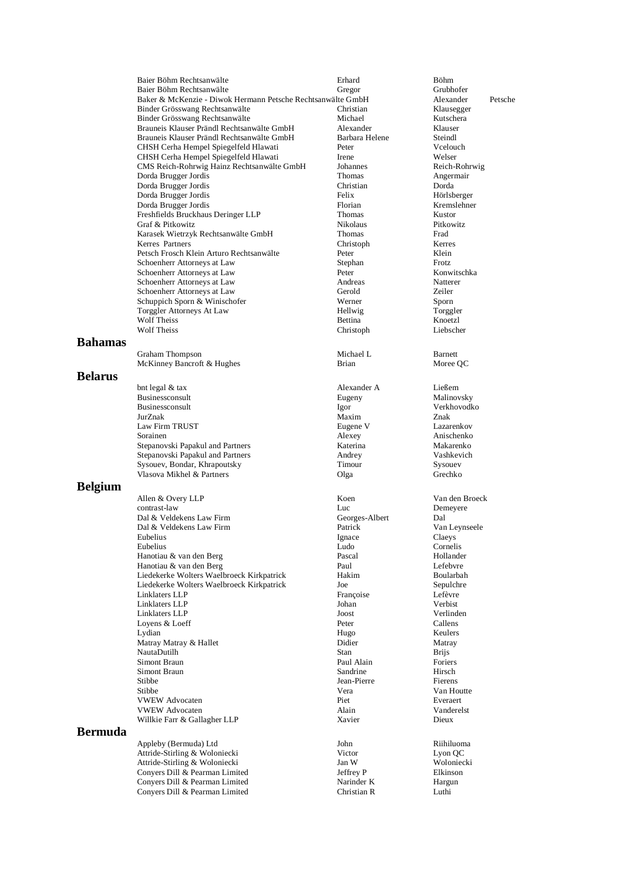| Baier Böhm Rechtsanwälte                                    | Erhard          | <b>Böhm</b>      |
|-------------------------------------------------------------|-----------------|------------------|
| Baier Böhm Rechtsanwälte                                    | Gregor          | Grubhofer        |
| Baker & McKenzie - Diwok Hermann Petsche Rechtsanwälte GmbH |                 | Alexander        |
| Binder Grösswang Rechtsanwälte                              | Christian       | Klausegge        |
| Binder Grösswang Rechtsanwälte                              | Michael         | Kutschera        |
| Brauneis Klauser Prändl Rechtsanwälte GmbH                  | Alexander       | Klauser          |
| Brauneis Klauser Prändl Rechtsanwälte GmbH                  | Barbara Helene  | Steindl          |
| CHSH Cerha Hempel Spiegelfeld Hlawati                       | Peter           | Vcelouch         |
| CHSH Cerha Hempel Spiegelfeld Hlawati                       | <b>I</b> rene   | Welser           |
| CMS Reich-Rohrwig Hainz Rechtsanwälte GmbH                  | Johannes        | Reich-Rol        |
| Dorda Brugger Jordis                                        | Thomas          | Angermai         |
| Dorda Brugger Jordis                                        | Christian       | Dorda            |
| Dorda Brugger Jordis                                        | Felix           | Hörlsberg        |
| Dorda Brugger Jordis                                        | Florian         | Kremslehi        |
| Freshfields Bruckhaus Deringer LLP                          | Thomas          | Kustor           |
| Graf & Pitkowitz                                            | <b>Nikolaus</b> | <b>Pitkowitz</b> |
| Karasek Wietrzyk Rechtsanwälte GmbH                         | <b>Thomas</b>   | Frad             |
| Kerres Partners                                             | Christoph       | <b>Kerres</b>    |
| Petsch Frosch Klein Arturo Rechtsanwälte                    | Peter           | Klein            |
| Schoenherr Attorneys at Law                                 | Stephan         | Frotz.           |
| Schoenherr Attorneys at Law                                 | Peter           | Konwitsch        |
| Schoenherr Attorneys at Law                                 | Andreas         | Natterer         |
| Schoenherr Attorneys at Law                                 | Gerold          | <b>Zeiler</b>    |
| Schuppich Sporn & Winischofer                               | Werner          | Sporn            |
| Torggler Attorneys At Law                                   | Hellwig         | Torggler         |
| Wolf Theiss                                                 | <b>Bettina</b>  | Knoetzl          |
| <b>Wolf Theiss</b>                                          | Christoph       | Liebscher        |
|                                                             |                 |                  |

#### **Bahamas**

Graham Thompson<br>
Michael L<br/>
Michael L<br/>
Michael L<br/>
Michael L<br/>
Michael L<br/>
More<br/>e OC<br>
More<br/>e OC<br>
More<br/>e OC<br>
More<br/>e OC<br>
More<br/>e OC<br>
More OC<br>
More OC McKinney Bancroft  $&$  Hughes

## **Belarus**

bnt legal & tax Alexander A Ließem Businessconsult Eugeny Malinovsky Businessconsult Igor Verkhovodko JurZnak Maxim Znak Law Firm TRUST Eugene V Lazarenkov Sorainen Alexey Anischenko Stepanovski Papakul and Partners Katerina Makarenko Stepanovski Papakul and Partners Andrey Vashkevich Sysouev, Bondar, Khrapoutsky Timour Vlasova Mikhel & Partners Olga Grechko

## **Belgium**

Allen & Overy LLP Koen Van den Broeck contrast-law Luc<br>
Dal & Veldekens Law Firm Georges-Albert Dal & Veldekens Law Firm Georges-Albert Dal Dal & Veldekens Law Firm Patrick Van Leynseele Eubelius Claeys **Ignace** Claeys Eubelius Ludo Cornelis Hanotiau & van den Berg and den Berg Pascal Pascal Hollander<br>
Hanotiau & van den Berg and Paul Paul Paul Lefebvre Hanotiau & van den Berg<br>Liedekerke Wolters Waelbroeck Kirkpatrick Paul Hakim Liedekerke Wolters Waelbroeck Kirkpatrick Hakim Hakim Boularbah Liedekerke Wolters Waelbroeck Kirkpatrick Joe Sepulchre Linklaters LLP Françoise Lefèvre Linklaters LLP Johan Verbist Linklaters LLP<br>
I ovens & I oeff Peter Loyens & Loeff **Peter** Peter Callens Callens Callens **Callens**<br>
Lydian Peter Hugo Keulers Lydian Hugo Keulers Matray Matray & Hallet **Didier** Didier Matray NautaDutilh Brijs Simont Braun **Paul Alain** Paul Alain Poriers<br>
Simont Braun **Paul Alain** Poriers<br>
Sandrine Hirsch Simont Braun Sandrine Sandrine Hirsch Hirsch Stibbe 1981 and Hirsch Jean-Pierre Fierens Stibbe Jean-Pierre Jean-Pierre Stibbe Vera VWEW Advocaten Piet Everaert VWEW Advocaten Alain Willkie Farr & Gallagher LLP Xavier Xavier Dieux

# **Bermuda**

Appleby (Bermuda) Ltd John John Riihiluoma Attride-Stirling & Woloniecki Victor Lyon QC Attride-Stirling & Woloniecki Jan W Jan W Woloniecki Jan W Woloniecki<br>
Convers Dill & Pearman Limited Jeffrey P Elkinson Conyers Dill & Pearman Limited<br>
Conyers Dill & Pearman Limited<br>
Conyers Dill & Pearman Limited<br>
Narinder K Conyers Dill & Pearman Limited Narinder K Hargun Conyers Dill & Pearman Limited Christian R Luthi

Ehristian Klausegger<br>Binder Klausegger<br>Kutschera Barbara Helene Steindl<br>Peter Vcelouch Johannes Reich-Rohrwig<br>Thomas Angermair Dorda Brugger Jordis Felix Hörlsberger Florian Kremslehner<br>Thomas Kustor Kerres Partners Christoph Kerres Peter Konwitschka<br>Andreas Natterer Wolf Theiss Christoph Liebscher

nwälte GmbH Alexander - Petsche - Christian<br>Christian - Klausegger Angermair Van Houtte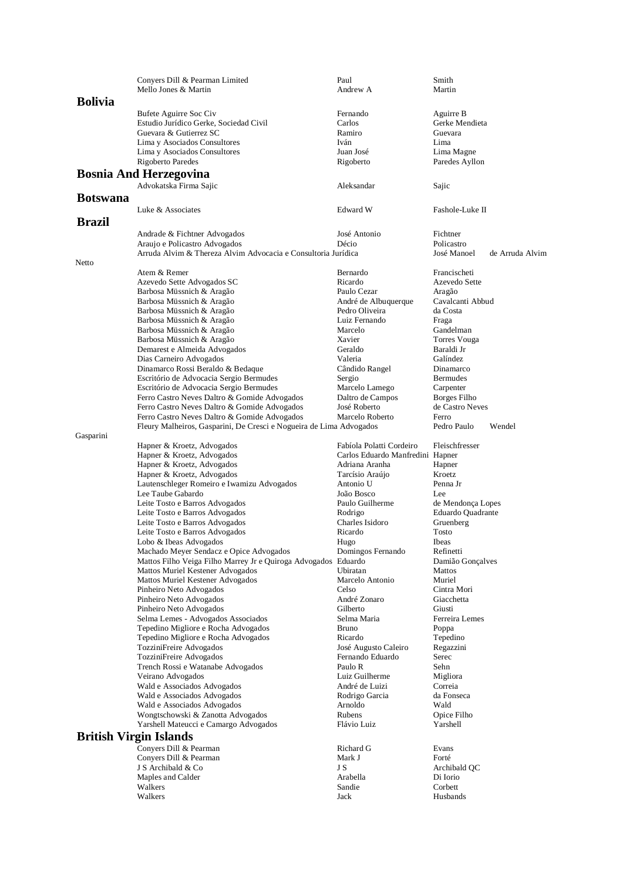|                 | Conyers Dill & Pearman Limited                                             | Paul                             | Smith                          |
|-----------------|----------------------------------------------------------------------------|----------------------------------|--------------------------------|
|                 | Mello Jones & Martin                                                       | Andrew A                         | Martin                         |
| <b>Bolivia</b>  |                                                                            |                                  |                                |
|                 | Bufete Aguirre Soc Civ                                                     | Fernando                         | Aguirre B                      |
|                 | Estudio Jurídico Gerke, Sociedad Civil                                     | Carlos                           | Gerke Mendieta                 |
|                 | Guevara & Gutierrez SC                                                     | Ramiro                           | Guevara                        |
|                 | Lima y Asociados Consultores                                               | Iván                             | Lima                           |
|                 | Lima y Asociados Consultores                                               | Juan José                        | Lima Magne                     |
|                 | Rigoberto Paredes                                                          | Rigoberto                        | Paredes Ayllon                 |
|                 | <b>Bosnia And Herzegovina</b>                                              |                                  |                                |
|                 | Advokatska Firma Sajic                                                     | Aleksandar                       | Sajic                          |
| <b>Botswana</b> |                                                                            |                                  |                                |
|                 | Luke & Associates                                                          | Edward W                         | Fashole-Luke II                |
| <b>Brazil</b>   |                                                                            |                                  |                                |
|                 | Andrade & Fichtner Advogados                                               | José Antonio                     | Fichtner                       |
|                 | Araujo e Policastro Advogados                                              | Décio                            | Policastro                     |
|                 | Arruda Alvim & Thereza Alvim Advocacia e Consultoria Jurídica              |                                  | José Manoel<br>de Arruda Alvim |
| Netto           |                                                                            |                                  |                                |
|                 | Atem & Remer                                                               | Bernardo                         | Francischeti                   |
|                 | Azevedo Sette Advogados SC                                                 | Ricardo                          | Azevedo Sette                  |
|                 | Barbosa Müssnich & Aragão                                                  | Paulo Cezar                      | Aragão                         |
|                 | Barbosa Müssnich & Aragão                                                  | André de Albuquerque             | Cavalcanti Abbud               |
|                 | Barbosa Müssnich & Aragão                                                  | Pedro Oliveira                   | da Costa                       |
|                 | Barbosa Müssnich & Aragão                                                  | Luiz Fernando                    | Fraga                          |
|                 | Barbosa Müssnich & Aragão                                                  | Marcelo<br>Xavier                | Gandelman                      |
|                 | Barbosa Müssnich & Aragão<br>Demarest e Almeida Advogados                  | Geraldo                          | Torres Vouga<br>Baraldi Jr     |
|                 | Dias Carneiro Advogados                                                    | Valeria                          | Galíndez                       |
|                 | Dinamarco Rossi Beraldo & Bedaque                                          | Cândido Rangel                   | Dinamarco                      |
|                 | Escritório de Advocacia Sergio Bermudes                                    | Sergio                           | <b>Bermudes</b>                |
|                 | Escritório de Advocacia Sergio Bermudes                                    | Marcelo Lamego                   | Carpenter                      |
|                 | Ferro Castro Neves Daltro & Gomide Advogados                               | Daltro de Campos                 | Borges Filho                   |
|                 | Ferro Castro Neves Daltro & Gomide Advogados                               | José Roberto                     | de Castro Neves                |
|                 | Ferro Castro Neves Daltro & Gomide Advogados                               | Marcelo Roberto                  | Ferro                          |
|                 | Fleury Malheiros, Gasparini, De Cresci e Nogueira de Lima Advogados        |                                  | Pedro Paulo<br>Wendel          |
| Gasparini       |                                                                            |                                  |                                |
|                 | Hapner & Kroetz, Advogados                                                 | Fabíola Polatti Cordeiro         | Fleischfresser                 |
|                 | Hapner & Kroetz, Advogados                                                 | Carlos Eduardo Manfredini Hapner |                                |
|                 | Hapner & Kroetz, Advogados                                                 | Adriana Aranha                   | Hapner                         |
|                 | Hapner & Kroetz, Advogados                                                 | Tarcísio Araújo                  | Kroetz                         |
|                 | Lautenschleger Romeiro e Iwamizu Advogados                                 | Antonio U<br>João Bosco          | Penna Jr<br>Lee                |
|                 | Lee Taube Gabardo<br>Leite Tosto e Barros Advogados                        | Paulo Guilherme                  | de Mendonça Lopes              |
|                 | Leite Tosto e Barros Advogados                                             | Rodrigo                          | Eduardo Quadrante              |
|                 | Leite Tosto e Barros Advogados                                             | Charles Isidoro                  | Gruenberg                      |
|                 | Leite Tosto e Barros Advogados                                             | Ricardo                          | Tosto                          |
|                 | Lobo & Ibeas Advogados                                                     | Hugo                             | <b>Ibeas</b>                   |
|                 | Machado Meyer Sendacz e Opice Advogados                                    | Domingos Fernando                | Refinetti                      |
|                 | Mattos Filho Veiga Filho Marrey Jr e Quiroga Advogados Eduardo             |                                  | Damião Gonçalves               |
|                 | Mattos Muriel Kestener Advogados                                           | Ubiratan                         | Mattos                         |
|                 | Mattos Muriel Kestener Advogados                                           | Marcelo Antonio                  | Muriel                         |
|                 | Pinheiro Neto Advogados                                                    | Celso                            | Cintra Mori                    |
|                 | Pinheiro Neto Advogados                                                    | André Zonaro                     | Giacchetta                     |
|                 | Pinheiro Neto Advogados                                                    | Gilberto                         | Giusti                         |
|                 | Selma Lemes - Advogados Associados                                         | Selma Maria<br><b>Bruno</b>      | Ferreira Lemes                 |
|                 | Tepedino Migliore e Rocha Advogados<br>Tepedino Migliore e Rocha Advogados | Ricardo                          | Poppa<br>Tepedino              |
|                 | TozziniFreire Advogados                                                    | José Augusto Caleiro             | Regazzini                      |
|                 | TozziniFreire Advogados                                                    | Fernando Eduardo                 | Serec                          |
|                 | Trench Rossi e Watanabe Advogados                                          | Paulo R                          | Sehn                           |
|                 | Veirano Advogados                                                          | Luiz Guilherme                   | Migliora                       |
|                 | Wald e Associados Advogados                                                | André de Luizi                   | Correia                        |
|                 | Wald e Associados Advogados                                                | Rodrigo Garcia                   | da Fonseca                     |
|                 | Wald e Associados Advogados                                                | Arnoldo                          | Wald                           |
|                 | Wongtschowski & Zanotta Advogados                                          | Rubens                           | Opice Filho                    |
|                 | Yarshell Mateucci e Camargo Advogados                                      | Flávio Luiz                      | Yarshell                       |
|                 | <b>British Virgin Islands</b>                                              |                                  |                                |
|                 | Conyers Dill & Pearman                                                     | Richard G                        | Evans                          |
|                 | Convers Dill & Pearman                                                     | Mark J                           | Forté                          |
|                 | J S Archibald & Co                                                         | J S                              | Archibald QC                   |
|                 | Maples and Calder                                                          | Arabella                         | Di Iorio                       |
|                 | Walkers                                                                    | Sandie                           | Corbett                        |
|                 | Walkers                                                                    | Jack                             | Husbands                       |
|                 |                                                                            |                                  |                                |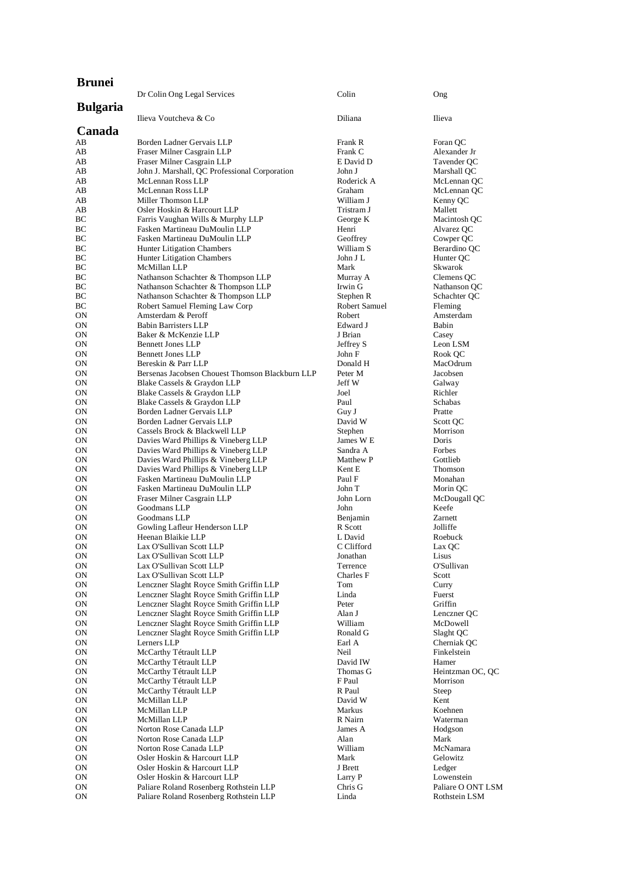| <b>Brunei</b>   |                                                                                    | Colin               |                          |
|-----------------|------------------------------------------------------------------------------------|---------------------|--------------------------|
| <b>Bulgaria</b> | Dr Colin Ong Legal Services                                                        |                     | Ong                      |
| Canada          | Ilieva Voutcheva & Co                                                              | Diliana             | Ilieva                   |
| AB              | Borden Ladner Gervais LLP                                                          | Frank R             | Foran QC                 |
| AВ              | Fraser Milner Casgrain LLP                                                         | Frank C             | Alexander Jr             |
| AВ              | Fraser Milner Casgrain LLP                                                         | E David D           | Tavender QC              |
| AB              | John J. Marshall, QC Professional Corporation                                      | John J              | Marshall QC              |
| AВ              | McLennan Ross LLP                                                                  | Roderick A          | McLennan QC              |
| AВ              | McLennan Ross LLP                                                                  | Graham              | McLennan QC              |
| AB              | Miller Thomson LLP                                                                 | William J           | Kenny QC                 |
| AB              | Osler Hoskin & Harcourt LLP                                                        | Tristram J          | Mallett                  |
| ВC              | Farris Vaughan Wills & Murphy LLP                                                  | George K            | Macintosh QC             |
| BC<br>BС        | Fasken Martineau DuMoulin LLP<br>Fasken Martineau DuMoulin LLP                     | Henri<br>Geoffrey   | Alvarez QC<br>Cowper QC  |
| BC              | <b>Hunter Litigation Chambers</b>                                                  | William S           | Berardino QC             |
| BC              | Hunter Litigation Chambers                                                         | John J L            | Hunter QC                |
| BC              | McMillan LLP                                                                       | Mark                | Skwarok                  |
| BС              | Nathanson Schachter & Thompson LLP                                                 | Murray A            | Clemens QC               |
| BС              | Nathanson Schachter & Thompson LLP                                                 | Irwin G             | Nathanson QC             |
| BС              | Nathanson Schachter & Thompson LLP                                                 | Stephen R           | Schachter QC             |
| BС              | Robert Samuel Fleming Law Corp                                                     | Robert Samuel       | Fleming                  |
| ON              | Amsterdam & Peroff                                                                 | Robert              | Amsterdam                |
| ON              | <b>Babin Barristers LLP</b>                                                        | Edward J            | Babin                    |
| ON              | Baker & McKenzie LLP                                                               | J Brian             | Casey                    |
| ON              | <b>Bennett Jones LLP</b>                                                           | Jeffrey S           | Leon LSM                 |
| ON              | <b>Bennett Jones LLP</b>                                                           | John F              | Rook QC                  |
| ON<br>ON        | Bereskin & Parr LLP<br>Bersenas Jacobsen Chouest Thomson Blackburn LLP             | Donald H<br>Peter M | MacOdrum<br>Jacobsen     |
| ON              | Blake Cassels & Graydon LLP                                                        | Jeff W              | Galway                   |
| ON              | Blake Cassels & Graydon LLP                                                        | Joel                | Richler                  |
| ON              | Blake Cassels & Graydon LLP                                                        | Paul                | <b>Schabas</b>           |
| ON              | Borden Ladner Gervais LLP                                                          | Guy J               | Pratte                   |
| ON              | Borden Ladner Gervais LLP                                                          | David W             | Scott QC                 |
| OΝ              | Cassels Brock & Blackwell LLP                                                      | Stephen             | Morrison                 |
| ON              | Davies Ward Phillips & Vineberg LLP                                                | James W E           | Doris                    |
| ON              | Davies Ward Phillips & Vineberg LLP                                                | Sandra A            | Forbes                   |
| ON              | Davies Ward Phillips & Vineberg LLP                                                | Matthew P           | Gottlieb                 |
| ON              | Davies Ward Phillips & Vineberg LLP                                                | Kent E              | Thomson                  |
| ON              | Fasken Martineau DuMoulin LLP<br>Fasken Martineau DuMoulin LLP                     | Paul F              | Monahan                  |
| ON<br>ON        | Fraser Milner Casgrain LLP                                                         | John T<br>John Lorn | Morin QC<br>McDougall QC |
| ON              | Goodmans LLP                                                                       | John                | Keefe                    |
| ON              | Goodmans LLP                                                                       | Benjamin            | Zarnett                  |
| OΝ              | Gowling Lafleur Henderson LLP                                                      | R Scott             | Jolliffe                 |
| ΟN              | Heenan Blaikie LLP                                                                 | L David             | Roebuck                  |
| <b>ON</b>       | Lax O'Sullivan Scott LLP                                                           | C Clifford          | Lax QC                   |
| ON              | Lax O'Sullivan Scott LLP                                                           | Jonathan            | Lisus                    |
| 0N              | Lax O'Sullivan Scott LLP                                                           | Terrence            | O'Sullivan               |
| ON              | Lax O'Sullivan Scott LLP                                                           | Charles F           | Scott                    |
| ON<br>ON        | Lenczner Slaght Royce Smith Griffin LLP<br>Lenczner Slaght Royce Smith Griffin LLP | Tom<br>Linda        | Curry<br>Fuerst          |
| ON              | Lenczner Slaght Royce Smith Griffin LLP                                            | Peter               | Griffin                  |
| ON              | Lenczner Slaght Royce Smith Griffin LLP                                            | Alan J              | Lenczner QC              |
| ON              | Lenczner Slaght Royce Smith Griffin LLP                                            | William             | McDowell                 |
| ON              | Lenczner Slaght Royce Smith Griffin LLP                                            | Ronald G            | Slaght OC                |
| ON              | Lerners LLP                                                                        | Earl A              | Cherniak QC              |
| ON              | McCarthy Tétrault LLP                                                              | Neil                | Finkelstein              |
| ON              | McCarthy Tétrault LLP                                                              | David IW            | Hamer                    |
| ON              | McCarthy Tétrault LLP                                                              | Thomas G            | Heintzman OC, QC         |
| ON              | McCarthy Tétrault LLP                                                              | F Paul              | Morrison                 |
| ON              | McCarthy Tétrault LLP                                                              | R Paul              | Steep                    |
| ON<br>ON        | McMillan LLP<br>McMillan LLP                                                       | David W<br>Markus   | Kent<br>Koehnen          |
| ON              | McMillan LLP                                                                       | R Nairn             | Waterman                 |
| ON              | Norton Rose Canada LLP                                                             | James A             | Hodgson                  |
| ON              | Norton Rose Canada LLP                                                             | Alan                | Mark                     |
| ON              | Norton Rose Canada LLP                                                             | William             | McNamara                 |
| ON              | Osler Hoskin & Harcourt LLP                                                        | Mark                | Gelowitz                 |
| ON              | Osler Hoskin & Harcourt LLP                                                        | J Brett             | Ledger                   |
| ON              | Osler Hoskin & Harcourt LLP                                                        | Larry P             | Lowenstein               |
| ON              | Paliare Roland Rosenberg Rothstein LLP                                             | Chris G             | Paliare O ONT LSM        |
| $\mathbf{ON}$   | Paliare Roland Rosenberg Rothstein LLP                                             | Linda               | Rothstein LSM            |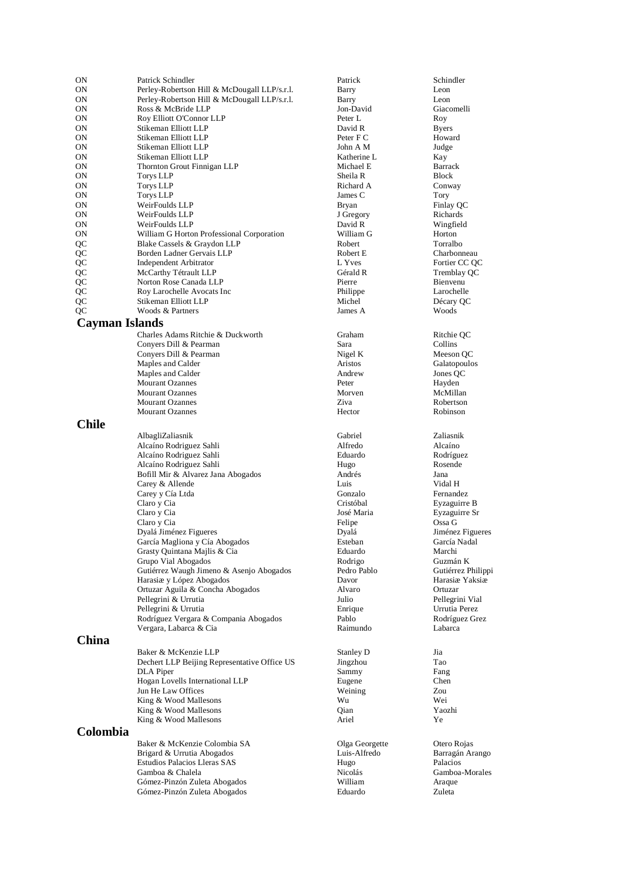| 0N           | Patrick Schindler                            | Patrick        | Schindler          |
|--------------|----------------------------------------------|----------------|--------------------|
| ON           | Perley-Robertson Hill & McDougall LLP/s.r.l. | Barry          | Leon               |
| ON           | Perley-Robertson Hill & McDougall LLP/s.r.l. | Barry          | Leon               |
| ON           | Ross & McBride LLP                           | Jon-David      | Giacomelli         |
| ON           | Roy Elliott O'Connor LLP                     | Peter L        | Roy                |
| ON           | Stikeman Elliott LLP                         | David R        | <b>Byers</b>       |
| ON           | Stikeman Elliott LLP                         | Peter F C      | Howard             |
| ON           | Stikeman Elliott LLP                         | John A M       | Judge              |
| ON           | Stikeman Elliott LLP                         | Katherine L    | Kay                |
| ON           | Thornton Grout Finnigan LLP                  | Michael E      | <b>Barrack</b>     |
| ON           | <b>Torys LLP</b>                             | Sheila R       | <b>Block</b>       |
| ON           | <b>Torys LLP</b>                             | Richard A      | Conway             |
| ON           | <b>Torys LLP</b>                             | James C        | Tory               |
| ON           | WeirFoulds LLP                               | <b>Bryan</b>   | Finlay QC          |
|              |                                              |                |                    |
| ON           | WeirFoulds LLP                               | J Gregory      | Richards           |
| ON           | WeirFoulds LLP                               | David R        | Wingfield          |
| ON           | William G Horton Professional Corporation    | William G      | Horton             |
| QC           | Blake Cassels & Graydon LLP                  | Robert         | Torralbo           |
| QC           | Borden Ladner Gervais LLP                    | Robert E       | Charbonne          |
| QC           | Independent Arbitrator                       | L Yves         | Fortier CC         |
| QC           | McCarthy Tétrault LLP                        | Gérald R       | Tremblay (         |
| QC           | Norton Rose Canada LLP                       | Pierre         | Bienvenu           |
| QC           | Roy Larochelle Avocats Inc                   | Philippe       | Larochelle         |
| QC           | Stikeman Elliott LLP                         | Michel         | Décary QC          |
| QC           | Woods & Partners                             | James A        | Woods              |
|              | Cayman Islands                               |                |                    |
|              | Charles Adams Ritchie & Duckworth            | Graham         | Ritchie QC         |
|              | Convers Dill & Pearman                       | Sara           | Collins            |
|              | Convers Dill & Pearman                       | Nigel K        | Meeson Q           |
|              | Maples and Calder                            | Aristos        | Galatopoul         |
|              | Maples and Calder                            | Andrew         | Jones QC           |
|              | <b>Mourant Ozannes</b>                       | Peter          | Hayden             |
|              | <b>Mourant Ozannes</b>                       | Morven         | McMillan           |
|              | <b>Mourant Ozannes</b>                       | Ziva           | Robertson          |
|              | <b>Mourant Ozannes</b>                       | Hector         | Robinson           |
| <b>Chile</b> |                                              |                |                    |
|              |                                              |                |                    |
|              | AlbagliZaliasnik                             | Gabriel        | Zaliasnik          |
|              | Alcaíno Rodriguez Sahli                      | Alfredo        | Alcaíno            |
|              | Alcaíno Rodriguez Sahli                      | Eduardo        | Rodríguez          |
|              | Alcaíno Rodriguez Sahli                      | Hugo           | Rosende            |
|              | Bofill Mir & Alvarez Jana Abogados           | Andrés         | Jana               |
|              | Carey & Allende                              | Luis           | Vidal H            |
|              | Carey y Cía Ltda                             | Gonzalo        | Fernandez          |
|              | Claro y Cia                                  | Cristóbal      | Eyzaguirre         |
|              | Claro y Cia                                  | José Maria     | Eyzaguirre         |
|              | Claro y Cia                                  | Felipe         | Ossa G             |
|              | Dyalá Jiménez Figueres                       | Dyalá          | Jiménez Fi         |
|              | García Magliona y Cía Abogados               | Esteban        | García Nac         |
|              | Grasty Quintana Majlis & Cia                 | Eduardo        | Marchi             |
|              | Grupo Vial Abogados                          | Rodrigo        | Guzmán K           |
|              | Gutiérrez Waugh Jimeno & Asenjo Abogados     | Pedro Pablo    | Gutiérrez F        |
|              | Homein + Lénes Abonder                       | D <sub>0</sub> | $Hone$ $\sim$ $V1$ |

Harasiæ y López Abogados Davor Harasiæ Yaksiæ Ortuzar Aguila & Concha Abogados Alvaro Ortuzar Pellegrini & Urrutia Julio Pellegrini Vialue I and Allie Pellegrini Vialue I and Allie Pellegrini Vialue I and A Pellegrini & Urrutia **Enrique** Enrique **Enrique** Urrutia Perez Rodríguez Vergara & Compania Abogados Pablo Rodríguez Grez Vergara, Labarca & Cia

## **China**

Baker & McKenzie LLP Stanley D Jia Dechert LLP Beijing Representative Office US Jingzhou Tao DLA Piper Sammy Fang<br>
Hogan Lovells International LLP Eugene Eugene Chen Hogan Lovells International LLP Eugene Chei<br>
Jun He Law Offices County County County County County County County County County County County County County Jun He Law Offices King & Wood Mallesons Wu Wei King & Wood Mallesons Qian Yaozhi King & Wood Mallesons **Ariel** Ye

# **Colombia**

Baker & McKenzie Colombia SA Olga Georgette Otero Rojas Brigard & Urrutia Abogados Luis-Alfredo Barragán Arango Estudios Palacios Lleras SAS Hugo Palacios Palacios en Estudios Palacios en Estudios Palacios en Estudios Palacios en Estudios Palacios en Estudios en Estudios en Estudios en Estudios en Estudios en Estudios en Estudios en Gamboa & Chalela **Micolás**<br>Gómez-Pinzón Zuleta Abogados **Milliam** Gómez-Pinzón Zuleta Abogados William Araque Gómez-Pinzón Zuleta Abogados Eduardo Zuleta

Robert E<br>
Ladis Ladis Ladis Ladis Ladis Rotter CC OC<br>
Ladis Rotter CC OC Gérald R Tremblay QC<br>Pierre Bienvenu Graham Ritchie QC<br>Sara Collins Nigel K Meeson QC<br>Aristos Galatopoulc Aristos Galatopoulos<br>
Andrew Jones OC Cristóbal Eyzaguirre B José Maria  $\qquad \qquad$  Eyzaguirre Sr<br>Felipe Ossa G Esteban García Nadal Rodrigo Guzmán K<br>Pedro Pablo Gutiérrez P

Fortier CC QC Dyalá Jiménez Figueres Dyalá Jiménez Figueres Gutiérrez Philippi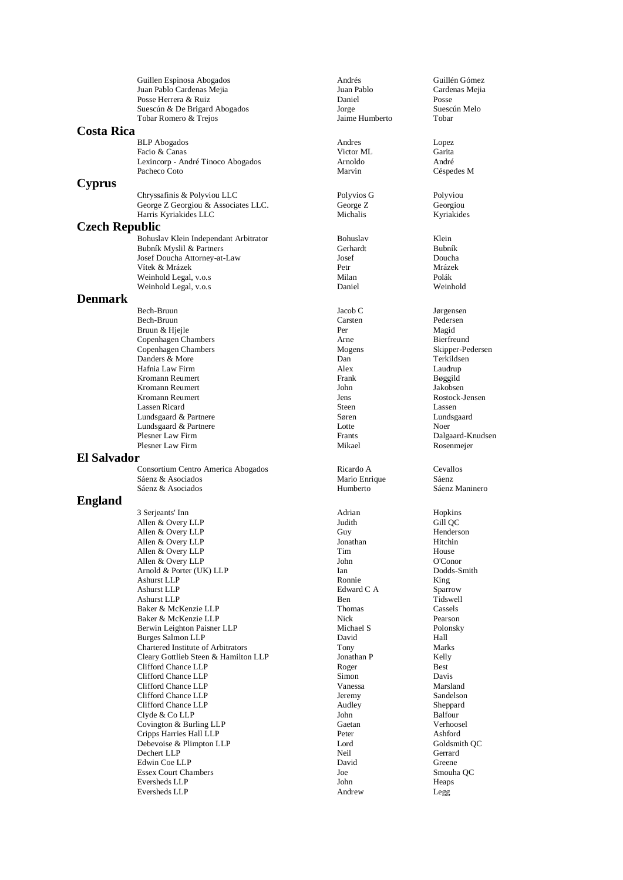| Juan Pablo Cardenas Mejia<br>Juan Pablo<br>Posse Herrera & Ruiz<br>Daniel<br>Suescún & De Brigard Abogados<br>Jorge | Guillén Gómez        |
|---------------------------------------------------------------------------------------------------------------------|----------------------|
|                                                                                                                     | Cardenas Mejia       |
|                                                                                                                     | Posse                |
|                                                                                                                     | Suescún Melo         |
| Jaime Humberto<br>Tobar Romero & Trejos                                                                             | Tobar                |
| <b>Costa Rica</b>                                                                                                   |                      |
| <b>BLP</b> Abogados<br>Andres                                                                                       | Lopez                |
| Victor ML<br>Facio & Canas                                                                                          | Garita               |
| Lexincorp - André Tinoco Abogados<br>Arnoldo                                                                        | André                |
| Pacheco Coto<br>Marvin                                                                                              | Céspedes M           |
| <b>Cyprus</b>                                                                                                       |                      |
| Chryssafinis & Polyviou LLC<br>Polyvios G                                                                           | Polyviou             |
| George Z Georgiou & Associates LLC.<br>George Z                                                                     | Georgiou             |
| Harris Kyriakides LLC<br>Michalis                                                                                   | Kyriakides           |
|                                                                                                                     |                      |
| <b>Czech Republic</b>                                                                                               |                      |
| Bohuslav Klein Independant Arbitrator<br>Bohuslav                                                                   | Klein                |
| Gerhardt<br>Bubník Myslil & Partners                                                                                | Bubník               |
| Josef<br>Josef Doucha Attorney-at-Law                                                                               | Doucha               |
| Vítek & Mrázek<br>Petr                                                                                              | Mrázek               |
| Milan<br>Weinhold Legal, v.o.s                                                                                      | Polák                |
| Weinhold Legal, v.o.s<br>Daniel                                                                                     | Weinhold             |
| <b>Denmark</b>                                                                                                      |                      |
| Bech-Bruun<br>Jacob C                                                                                               | Jørgensen            |
| Carsten<br>Bech-Bruun                                                                                               | Pedersen             |
| Bruun & Hjejle<br>Per                                                                                               | Magid                |
| Copenhagen Chambers<br>Arne                                                                                         | Bierfreund           |
| Copenhagen Chambers<br>Mogens                                                                                       | Skipper-Pedersen     |
| Danders & More<br>Dan                                                                                               | Terkildsen           |
| Hafnia Law Firm<br>Alex                                                                                             | Laudrup              |
| Kromann Reumert<br>Frank                                                                                            | Bøggild              |
| Kromann Reumert<br>John                                                                                             | Jakobsen             |
| Kromann Reumert<br>Jens                                                                                             | Rostock-Jensen       |
| Lassen Ricard<br>Steen                                                                                              | Lassen               |
| Lundsgaard & Partnere<br>Søren                                                                                      | Lundsgaard           |
| Lundsgaard & Partnere<br>Lotte                                                                                      | Noer                 |
| Plesner Law Firm<br>Frants                                                                                          | Dalgaard-Knudsen     |
| Plesner Law Firm<br>Mikael                                                                                          | Rosenmejer           |
| <b>El Salvador</b>                                                                                                  |                      |
| Consortium Centro America Abogados<br>Ricardo A                                                                     | Cevallos             |
|                                                                                                                     |                      |
| Sáenz & Asociados<br>Mario Enrique                                                                                  | Sáenz                |
| Sáenz & Asociados<br>Humberto                                                                                       | Sáenz Maninero       |
|                                                                                                                     |                      |
| <b>England</b>                                                                                                      |                      |
| Adrian<br>3 Serjeants' Inn<br>Judith                                                                                | Hopkins              |
| Allen & Overy LLP                                                                                                   | Gill QC<br>Henderson |
| Allen & Overy LLP<br>Guy                                                                                            | Hitchin              |
| Allen & Overy LLP<br>Jonathan<br>Allen & Overy LLP<br>Tim                                                           | House                |
| Allen & Overy LLP<br>John                                                                                           | O'Conor              |
| Arnold & Porter (UK) LLP<br>Ian                                                                                     | Dodds-Smith          |
| Ashurst LLP<br>Ronnie                                                                                               | King                 |
| <b>Ashurst LLP</b><br>Edward C A                                                                                    | Sparrow              |
| <b>Ashurst LLP</b><br>Ben                                                                                           | Tidswell             |
| Baker & McKenzie LLP<br>Thomas                                                                                      | Cassels              |
| Baker & McKenzie LLP<br>Nick                                                                                        | Pearson              |
| Berwin Leighton Paisner LLP<br>Michael S                                                                            | Polonsky             |
| <b>Burges Salmon LLP</b><br>David                                                                                   | Hall                 |
| Chartered Institute of Arbitrators<br>Tony                                                                          | Marks                |
| Cleary Gottlieb Steen & Hamilton LLP<br>Jonathan P                                                                  | Kelly                |
| Clifford Chance LLP<br>Roger                                                                                        | Best                 |
| Clifford Chance LLP<br>Simon                                                                                        | Davis                |
| Clifford Chance LLP<br>Vanessa                                                                                      | Marsland             |
| Clifford Chance LLP<br>Jeremy                                                                                       | Sandelson            |
| Clifford Chance LLP<br>Audley                                                                                       | Sheppard             |
| Clyde & Co LLP<br>John                                                                                              | Balfour              |
| Covington & Burling LLP<br>Gaetan                                                                                   | Verhoosel            |
| Cripps Harries Hall LLP<br>Peter                                                                                    | Ashford              |
| Debevoise & Plimpton LLP<br>Lord                                                                                    | Goldsmith QC         |
| Dechert LLP<br>Neil                                                                                                 | Gerrard              |
| Edwin Coe LLP<br>David                                                                                              | Greene               |
| <b>Essex Court Chambers</b><br>Joe                                                                                  | Smouha QC            |
| Eversheds LLP<br>John<br>Eversheds LLP<br>Andrew                                                                    | Heaps<br>Legg        |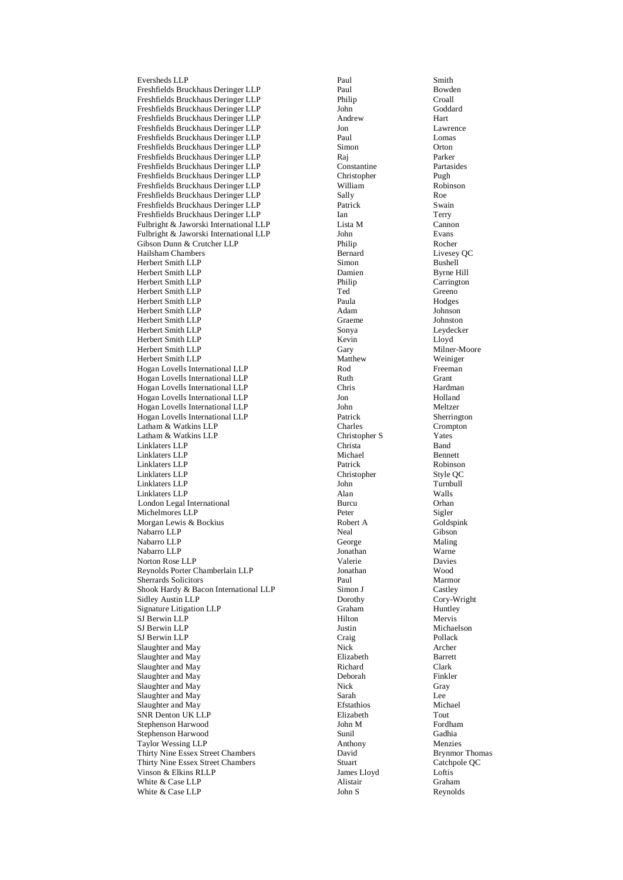Eversheds LL Freshfields Bruckhaus Deringer LLP Paul Paul Bowden Freshfields Bruckhaus Deringer LLP Philip Croall Freshfields Bruckhaus Deringer LLP John<br>Freshfields Bruckhaus Deringer LLP Andrew Freshfields Bruckhaus Deringer LLP Andrew Hart Freshfields Bruckhaus Deringer LLP Jon Lawrence Freshfields Bruckhaus Deringer LLP Freshfields Bruckhaus Deringer LLP Simon Orton Freshfields Bruckhaus Deringer LLP Raj Parker Freshfields Bruckhaus Deringer LLP Constantine Partasides Freshfields Bruckhaus Deringer LLP Freshfields Bruckhaus Deringer LLP William Robinson Freshfields Bruckhaus Deringer LLP Sally Roe Freshfields Bruckhaus Deringer LLP Freshfields Bruckhaus Deringer LLP Ian Ian Terry Fulbright & Jaworski International LLP Lista M Cannon Fulbright & Jaworski International LLP John Byans<br>
Gibson Dunn & Crutcher LLP Philip Philip Rocher Gibson Dunn & Crutcher LLP Philip Rocher Hailsham Chambers Bernard Herbert Smith LLP Simon Bushell Herbert Smith LLP<br>
Herbert Smith LLP<br>
Herbert Smith LLP<br>
Herbert Smith LLP<br>
Herbert Smith LLP<br>
Herbert Smith LLP Herbert Smith LLP Herbert Smith LLP Ted Ted Greeno Herbert Smith LLP<br>
Herbert Smith LLP<br>
Herbert Smith LLP<br>
Adam

Adam

Paula Adam Herbert Smith LLP Adam Johnson Herbert Smith LLP Graeme Johnston Herbert Smith LLP<br>
Herbert Smith LLP<br>
Lloyd Kevin<br>
Lloyd Kevin Herbert Smith LLP<br>
Herbert Smith LLP<br>
Gary Herbert Smith LLP Gary Milner Herbert Smith LLP Hogan Lovells International LLP<br>
Hogan Lovells International LLP<br>
Ruth Grant Grant Hogan Lovells International LLP<br>
Hogan Lovells International LLP<br>
Chris Grant Grant Grant Hardman Hogan Lovells International LLP Hogan Lovells International LLP 5 and Jon Jon Holland Hogan Lovells International LLP John Meltzer Hogan Lovells International LLP Latham & Watkins LLP Charles Crompton Charles Crompton Latham & Watkins LLP Christopher S Yates Linklaters LLP Christa Band<br>
Linklaters LLP Michael Bennett Linklaters LLP Linklaters LLP Patrick Robinson Linklaters LLP Christopher Style QC Linklaters LLP John Turnbullet and Turnbullet and Turnbullet and Turnbullet and Turnbullet and Turnbullet and Turnbullet and Turnbullet and Turnbullet and Turnbullet and Turnbullet and Turnbullet and Turnbullet and Turnbul Linklaters LLP London Legal International Burcu Orhan Michelmores LLP<br>
Morgan Lewis & Bockius<br>
Morgan Lewis & Bockius<br>
Peter A<br>
Robert A<br>
Robert A<br>
Goldspink Morgan Lewis & Bockius Nabarro LLP Neal Gibson Gibson Nabarro LLP George Maling Nabarro LLP **Ionathan** Warne Norton Rose LLP Valerie Valerie Davies Reynolds Porter Chamberlain LLP Jonathan Wood Sherrards Solicitors **Paul Marmor** Shook Hardy & Bacon International LLP Simon J Castley<br>Sidley Austin LLP Dorothy Cory-W Sidley Austin LLP Signature Litigation LLP Graham Graham Huntley SJ Berwin LLP SJ Berwin LLP **Justin** Justin Michaelson SJ Berwin LLP Craig Pollack Slaughter and May **Nick Archer**<br>
Slaughter and May **Nick Archer**<br>
Elizabeth **Barrett** Slaughter and May **Elizabeth** Barrett Blaughter and May **Elizabeth** Barrett Blaughter and May **Barret** Slaughter and May Slaughter and May **Deborah** Finkler Slaughter and May Slaughter and May Slaughter and May Sarah Sarah Creater and May Sarah Sarah Creater and May Sarah Sarah Creater and May Sarah Sarah Creater and May Sarah Sarah Sarah Sarah Sarah Sarah Sarah Sarah Sarah Sa Slaughter and May Sarah Sarah Lee Lee Slaughter and May Sarah Lee Slaughter and May Sarah Lee Slaughter and May Sarah Lee Slaughter and May Sarah Lee Slaughter and May Sarah Lee Slaughter and May Sarah Lee Slaughter and Ma Slaughter and May SNR Denton UK LLP<br>
Stephenson Harwood<br>
Stephenson Harwood<br>
Stephenson Harwood<br>
Stephenson Harwood<br>
Stephenson Harwood<br>
Stephenson Harwood<br>
Stephenson Harwood<br>
Stephenson Harwood<br>
Stephenson Harwood<br>
Stephenson Harwood<br>
Ste Stephenson Harwood John M Fordham Stephenson Harwood Taylor Wessing LLP Anthony Menzies Thirty Nine Essex Street Chambers **David** Brynmor Thomas **Catching Community** Catchnole OC **C** David Brynmor Thomas **Catchnole OC** Thirty Nine Essex Street Chambers Stuart Stuart Catch<sub>p</sub> Catch<sub>p</sub> Catch<sub>p</sub> Catch<sub>p</sub> Catch<sub>p</sub> Catch<sub>p</sub> Catch<sub>p</sub> Catch<sub>p</sub> Catch<sub>p</sub> Catch<sub>p</sub> Catch<sub>p</sub> Catch<sub>p</sub> Catch<sub>p</sub> Catch<sub>p</sub> Catch<sub>p</sub> Catts Catts Catts Catts Catts Catts Cat Vinson & Elkins RLLP White & Case LLP Alistair Graham White & Case LLP John S Reynolds

P Paul Smith Hilton Mervis

Milner-Moore Cory-Wright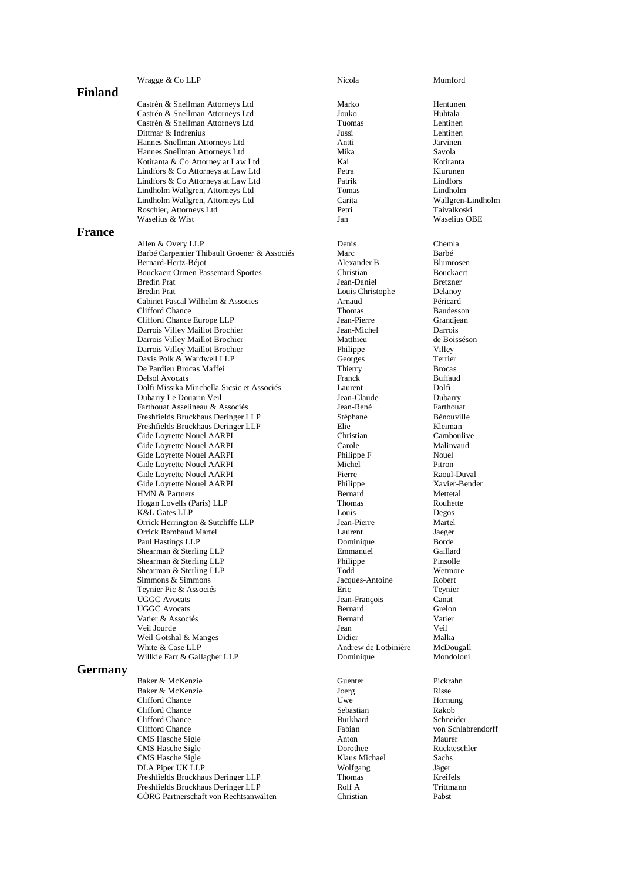Wragge & Co LLP Nicola Mumford

Castrén & Snellman Attorneys Ltd Marko Hentunen Castrén & Snellman Attorneys Ltd Jouko Huhtala Castrén & Snellman Attorneys Ltd Tuomas Lehtinen Dittmar & Indrenius Jussi Lehtinen Hannes Snellman Attorneys Ltd Hannes Snellman Attorneys Ltd Mika Savola Kotiranta & Co Attorney at Law Ltd Kai Kotiranta Lindfors & Co Attorneys at Law Ltd<br>
Lindfors & Co Attorneys at Law Ltd<br>
Patrik Bindfors & Co Attorneys at Law Ltd<br>
Patrik Bindfors Lindfors & Co Attorneys at Law Ltd Patrik Lindfors Lindfors<br>
Lindholm Wallgren. Attorneys Ltd Tomas Lindholm Vallgren. Attorneys Ltd Lindholm Wallgren, Attorneys Ltd Tomas Lindholm Lindholm Wallgren, Attorneys Ltd Carita Carita Wallgren-Lindholm Wallgren-Lindholm Wallgren-Lindholm Carita Carita Wallgren-Lindholm Roschier Attorneys Ltd Petri Taivalkoski Roschier, Attorneys Ltd Waselius & Wist **Mathematic Contract Contract Contract Contract Contract Contract Contract Contract Contract Contract Contract Contract Contract Contract Contract Contract Contract Contract Contract Contract Contract Contr** 

### **France**

Allen & Overy LLP Denis Chemla Barbé Carpentier Thibault Groener & Associés Marc Barbé Bernard-Hertz-Béjot **Blumrosen** Alexander B Blumrosen Bouckaert Ormen Passemard Sportes Christian Christian Bouckaert Bredin Prat Bouckaert Bredin Prat Bouckaert Bredin Bretzner Bredin Prat **Louis Christophe Delanoy** Cabinet Pascal Wilhelm & Associes Arnaud Péricard Péricard Péricard Péricard Péricard Péricard Péricard Péricard Péricard Péricard Péricard Péricard Péricard Péricard Péricard Péricard Péricard Péricard Péricard Péricard P Clifford Chance Thomas Baudesson Clifford Chance Europe LLP<br>
Derrois Villey Maillot Brochier<br>
Jean-Michel Darrois Villey Maillot Brochier Jean-Michel Darrois Darrois Villey Maillot Brochier Matthieu de Boissé (au America) de Boissées (au America) de Boissées (au America) de Boissées (au America) de Boissées (au America) de Boissées (au America) de Maillot Brochier (au America) Darrois Villey Maillot Brochier Davis Polk & Wardwell LLP Georges Terrier De Pardieu Brocas Maffei Thierry Brocas Delsol Avocats<br>
Dolfi Missika Minchella Sicsic et Associés<br>
Dolfi Missika Minchella Sicsic et Associés<br>
Laurent Laurent Dolfi Dolfi Missika Minchella Sicsic et Associés Laurent Dolfi Dubarry Le Douarin Veil Farthouat Asselineau & Associés Jean-René Farthouat Freshfields Bruckhaus Deringer LLP Freshfields Bruckhaus Deringer LLP Elie Kleiman Gide Loyrette Nouel AARPI Christian Christian Camboulive Gide Loyrette Nouel AARPI Carole Malinvaud Gide Loyrette Nouel AARPI<br>Gide Loyrette Nouel AARPI Philippe Gide Loyrette Nouel AARPI Michel Pitron Gide Loyrette Nouel AARPI Pierre Raoul-Duval Gide Loyrette Nouel AARPI Philippe Xavier-Bender HMN  $&$  Partners Hogan Lovells (Paris) LLP Thomas Rouhette K&L Gates LLP Louis Degos Orrick Herrington & Sutcliffe LLP Jean-Pierre Martel Orrick Rambaud Martel Paul Hastings LLP Dominique Borde Shearman & Sterling LLP Emmanuel Gaillard Shearman & Sterling LLP Philippe Pinsolle Shearman & Sterling LLP Todd Wetmore Simmons & Simmons<br>
Teynier Pic & Associés<br>
Teynier Pic & Associés<br>
Particular Pic & Associés<br>
Particular Pic & Associés Teynier Pic & Associés and Eric Eric Teynier Pic & Associés and Eric Eric Teynier Premier Premier Premier Premier Premier Premier Premier Premier Premier Premier Premier Premier Premier Premier Premier Premier Premier Prem UGGC Avocats Bernard Grelon Vatier & Associés Bernard Vatier Veil Jourde Jean Veil Weil Gotshal & Manges Didier Didier Malka White & Case LLP Andrew de Lotbinière McDougall Willkie Farr & Gallagher LLP Dominique

## **Germany**

Baker & McKenzie Guenter Guenter Pickrahn<br>Baker & McKenzie Guenter Baker Baker & McKenzie Baker & McKenzie Clifford Chance **1986** Uwe Hornung<br>Clifford Chance **1986** Sebastian Rakob Clifford Chance Sebastian Rakob (Clifford Chance Sebastian Rakob (Clifford Chance Schneider Rakob (Clifford Chance Rakob (Clifford Chance Rakob (Clifford Chance Rakob (Clifford Chance Rakob (Clifford Chance Rakob (Clifford Clifford Chance<br>Clifford Chance CMS Hasche Sigle **CMS** Hasche Sigle Anton Maurer CMS Hasche Sigle Anton Maurer CMS Hasche Sigle Anton Maurer CMS Hasche Sigle Anton Maurer CMS Hasche Sigle Anton Maurer CMS Hasche Sigle Anton Maurer CMS Hasche Sigle Anton CMS Hasche Sigle **CMS** Hasche Sigle **CMS** Hasche Sigle **Rush School School CMS** Hasche Sigle CMS Hasche Sigle Klaus Michael Sachs DLA Piper UK LLP Wolfgang Jäger Freshfields Bruckhaus Deringer LLP<br>Freshfields Bruckhaus Deringer LLP Rolf A Freshfields Bruckhaus Deringer LLP Rolf A Trittmann GÖRG Partnerschaft von Rechtsanwälten Christian Pabst

Jean-Daniel Jean-François Canat Fabian von Schlabrendorff<br>Anton Maurer

## **Finland**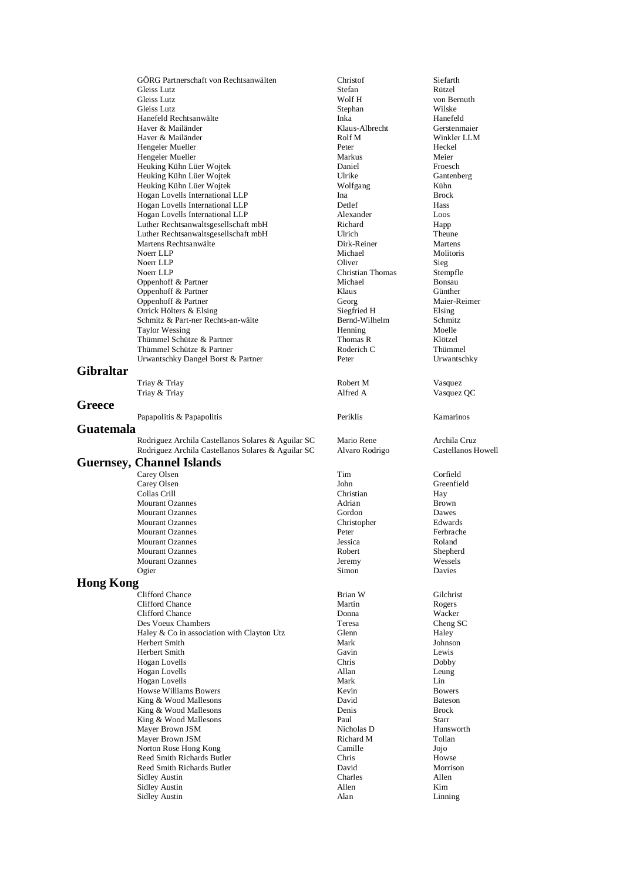GÖRG Partnerschaft von Rechtsanwälten Christof Siefarth Gleiss Lutz Stefan Rützel Gleiss Lutz **Wolf H** von Bernuth Gleiss Lutz Stephan Wilske Hanefeld Rechtsanwälte Inka Hanefeld Haver & Mailänder Klaus-Albrecht Gerstenmaier Haver & Mailänder Rolf M Winkler LLM Hengeler Mueller **Peter** Peter Hengeler Mueller Markus Markus Meier Meier Heuking Kühn Lüer Wojtek Meier Markus Meier Meier Meier Markus Meier Heuking Kühn Lüer Wojtek Daniel Froesch Heuking Kühn Lüer Wojtek Heuking Kühn Lüer Wojtek Wolfgang Kühn Hogan Lovells International LLP<br>
Hogan Lovells International LLP<br>
Detlef Hass Hogan Lovells International LLP<br>
Hogan Lovells International LLP<br>
Hogan Lovells International LLP<br>
Alexander

Doos Hogan Lovells International LLP Luther Rechtsanwaltsgesellschaft mbH Richard Richard Happ Luther Rechtsanwaltsgesellschaft mbH Ulrich Theune Martens Rechtsanwälte aus der Birk-Reiner Michael Dirk-Reiner Michael (1989)<br>Network Michael Michael (1989) Noerr LLP Michael Molitoris Noerr LLP Sieg Noerr LLP<br>
Oppenhoff & Partner<br>
Oppenhoff & Partner<br>
Oppenhoff & Partner Oppenhoff & Partner Oppenhoff & Partner Klaus Günther Klaus Günther Oppenhoff & Partner<br>
Oppenhoff & Partner<br>
Orrick Hölters & Elsing<br>
Georg Maier-Reimer<br>
Siegfried H<br>
Elsing<br>
Elsing Orrick Hölters & Elsing<br>
Schmitz & Part-ner Rechts-an-wälte<br>
Schmitz & Part-ner Rechts-an-wälte<br>
Bernd-Wilhelm Schmitz Schmitz & Part-ner Rechts-an-wälte Taylor Wessing Moelle<br>
Thümmel Schütze & Partner Moelle Thomas R Klötzel Thümmel Schütze & Partner Thomas R Klötzel<br>
Thümmel Schütze & Partner Thümmel Schütze & Partner Thümmel Schütze & Partner Thummel Schütze & Partner Thomas R Thümmel Schütze & Partner **Roderich C** Roderich C Thümmel Schütze & Partner Roderich C Thümmel Chromatschky Dangel Borst & Partner **Roderich C** Refer Urwantschky Dangel Borst & Partner Peter

# **Gibraltar**

Triay & Triay

# **Greece**

#### **Guatemala**

Rodriguez Archila Castellanos Solares & Aguilar SC Mario Rene Archila Cruz Rodriguez Archila Castellanos Solares & Aguilar SC Alvaro Rodrigo Castellanos Howell

## **Guernsey, Channel Islands**

Collas Crill Mourant Ozannes Peter Mourant Ozannes Jeremy

#### **Hong Kong**

Clifford Chance **Brian W** Gilchrist Glimes Brian W Gilchrist Clifford Chance **Brian W** Gilchrist Rogers Clifford Chance Martin Rogers<br>
Clifford Chance Clifford Chance Donna Wacker Clifford Chance Des Voeux Chambers<br>
Haley & Co in association with Clayton Utz<br>
Glenn

Glenn

Cheng SC Haley  $& Co$  in association with Clayton Utz Herbert Smith Mark Johnson Herbert Smith Gavin Lewis Hogan Lovells Chris Dobby Hogan Lovells Allan Leung Hogan Lovells<br>
Howse Williams Rowers<br>
Howse Williams Rowers<br>

Howse Milliams Rowers Howse Williams Bowers King & Wood Mallesons **David** Bateson **Bates** King & Wood Mallesons **Brock** Denis Brock King & Wood Mallesons and Starr Paul Starr Starr Starr Starr Starr Starr Starr Starr Starr Starr Starr Starr Starr Starr Starr Starr Starr Starr Starr Starr Starr Starr Starr Starr Starr Starr Starr Starr Starr Starr Starr Mayer Brown JSM Nicholas D Hunsworth Hunsworth Channel Micholas D Hunsworth Hunsworth Hunsworth Channel Hunsworth Nicholas D Hunsworth Hunsworth (Nicholas D Hunsworth 2012)<br>
Richard M Tollan Mayer Brown JSM<br>
Norton Rose Hong Kong<br>
Camille Norton Rose Hong Kong **Camille** Jojo Reed Smith Richards Butler Chris Chris Howse Reed Smith Richards Butler David Morrison Sidley Austin Charles Charles Allen Sidley Austin Kim Allen Kim Sidley Austin **Alan** Linning

Triay & Triay **Camera Communist Communist Communist Communist Communist Communist Communist Communist Communist Communist Communist Communist Communist Communist Communist Communist Communist Communist Communist Communist** Papapolitis & Papapolitis **Example 1** Periklis Ramarinos Carey Olsen Tim Corfield Carey Olsen Greenfield Christian Communication of the Collas Crill<br>Collas Crill Christian Christian Hav Mourant Ozannes Adrian Brown Mourant Ozannes<br>Mourant Ozannes Gordon Christopher (Dawes Ball and Dawes Christopher (Dawes Ball and Dawes Ball and Dawes Ball<br>Christopher (Dawes Ball and Dawes Ball and Dawes Ball and Dawes Ball and Dawes Ball and Dawes B Mourant Ozannes Christopher Edwards Mourant Ozannes Jessica Roland Mourant Ozannes Robert Shepherd Ogier **Davies Community Community Community Community** Simon **Community Community Community Community**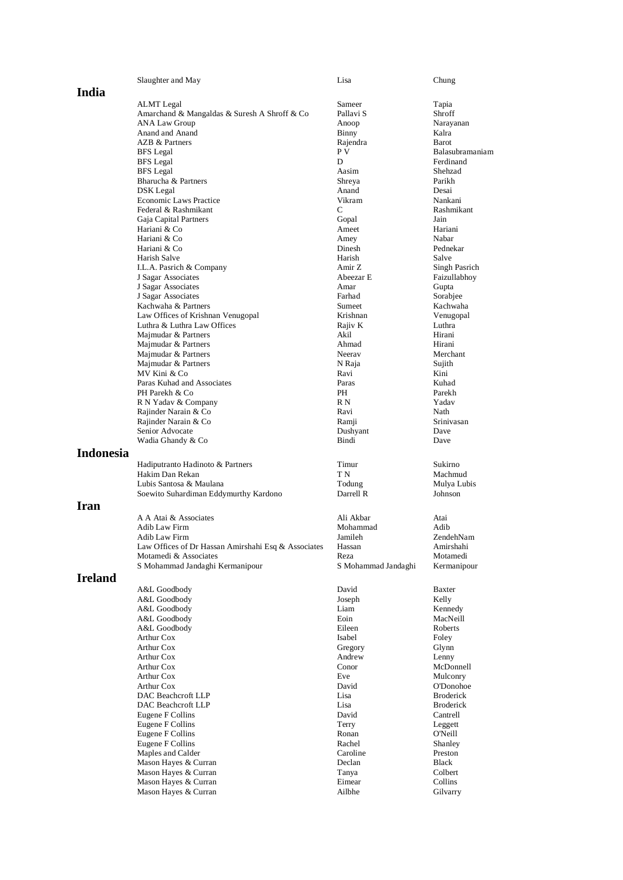|                | Slaughter and May                                   | Lisa                | Chung            |
|----------------|-----------------------------------------------------|---------------------|------------------|
| India          |                                                     |                     |                  |
|                | ALMT Legal                                          | Sameer              | Tapia            |
|                | Amarchand & Mangaldas & Suresh A Shroff & Co        | Pallavi S           | Shroff           |
|                | <b>ANA Law Group</b>                                | Anoop               | Narayanan        |
|                | Anand and Anand<br>AZB & Partners                   | Binny               | Kalra<br>Barot   |
|                |                                                     | Rajendra<br>P V     | Balasubramaniam  |
|                | <b>BFS</b> Legal                                    | D                   | Ferdinand        |
|                | <b>BFS</b> Legal<br><b>BFS</b> Legal                | Aasim               | Shehzad          |
|                | Bharucha & Partners                                 | Shreya              | Parikh           |
|                | DSK Legal                                           | Anand               | Desai            |
|                | <b>Economic Laws Practice</b>                       | Vikram              | Nankani          |
|                | Federal & Rashmikant                                | C                   | Rashmikant       |
|                | Gaja Capital Partners                               | Gopal               | Jain             |
|                | Hariani & Co                                        | Ameet               | Hariani          |
|                | Hariani & Co                                        | Amey                | Nabar            |
|                | Hariani & Co                                        | Dinesh              | Pednekar         |
|                | Harish Salve                                        | Harish              | Salve            |
|                | I.L.A. Pasrich & Company                            | Amir Z              | Singh Pasrich    |
|                | J Sagar Associates                                  | Abeezar E           | Faizullabhoy     |
|                | J Sagar Associates                                  | Amar                | Gupta            |
|                | J Sagar Associates                                  | Farhad              | Sorabjee         |
|                | Kachwaha & Partners                                 | Sumeet              | Kachwaha         |
|                | Law Offices of Krishnan Venugopal                   | Krishnan            | Venugopal        |
|                | Luthra & Luthra Law Offices                         | Rajiv K             | Luthra           |
|                | Majmudar & Partners                                 | Akil                | Hirani           |
|                | Majmudar & Partners                                 | Ahmad               | Hirani           |
|                | Majmudar & Partners                                 | Neeray              | Merchant         |
|                | Majmudar & Partners                                 | N Raja              | Sujith           |
|                | MV Kini & Co                                        | Ravi                | Kini             |
|                | Paras Kuhad and Associates                          | Paras               | Kuhad            |
|                | PH Parekh & Co                                      | PH                  | Parekh           |
|                | R N Yadav & Company                                 | R N                 | Yadav            |
|                | Rajinder Narain & Co                                | Ravi                | Nath             |
|                | Rajinder Narain & Co                                | Ramji               | Srinivasan       |
|                | Senior Advocate                                     | Dushyant            | Dave             |
|                | Wadia Ghandy & Co                                   | Bindi               | Dave             |
| Indonesia      |                                                     |                     |                  |
|                | Hadiputranto Hadinoto & Partners                    | Timur               | Sukirno          |
|                | Hakim Dan Rekan                                     | T N                 | Machmud          |
|                | Lubis Santosa & Maulana                             | Todung              | Mulya Lubis      |
|                | Soewito Suhardiman Eddymurthy Kardono               | Darrell R           | Johnson          |
| Iran           |                                                     |                     |                  |
|                | A A Atai & Associates                               | Ali Akbar           | Atai             |
|                | Adib Law Firm                                       | Mohammad            | Adib             |
|                | Adib Law Firm                                       | Jamileh             | ZendehNam        |
|                | Law Offices of Dr Hassan Amirshahi Esq & Associates | Hassan              | Amirshahi        |
|                | Motamedi & Associates                               | Reza                | Motamedi         |
|                | S Mohammad Jandaghi Kermanipour                     | S Mohammad Jandaghi | Kermanipour      |
| <b>Ireland</b> |                                                     |                     |                  |
|                |                                                     |                     |                  |
|                | A&L Goodbody                                        | David               | Baxter           |
|                | A&L Goodbody                                        | Joseph              | Kelly            |
|                | A&L Goodbody                                        | Liam                | Kennedy          |
|                | A&L Goodbody                                        | Eoin                | MacNeill         |
|                | A&L Goodbody                                        | Eileen              | Roberts          |
|                | Arthur Cox                                          | Isabel              | Foley            |
|                | Arthur Cox                                          | Gregory             | Glynn            |
|                | Arthur Cox                                          | Andrew              | Lenny            |
|                | Arthur Cox                                          | Conor               | McDonnell        |
|                | Arthur Cox                                          | Eve                 | Mulconry         |
|                | Arthur Cox                                          | David               | O'Donohoe        |
|                | DAC Beachcroft LLP                                  | Lisa                | <b>Broderick</b> |
|                | DAC Beachcroft LLP                                  | Lisa                | <b>Broderick</b> |
|                | Eugene F Collins                                    | David               | Cantrell         |
|                | Eugene F Collins                                    | Terry               | Leggett          |
|                | Eugene F Collins                                    | Ronan               | O'Neill          |
|                | Eugene F Collins                                    | Rachel              | Shanley          |
|                | Maples and Calder                                   | Caroline            | Preston          |
|                | Mason Hayes & Curran                                | Declan              | Black            |
|                | Mason Hayes & Curran                                | Tanya               | Colbert          |
|                | Mason Hayes & Curran                                | Eimear              | Collins          |
|                | Mason Hayes & Curran                                | Ailbhe              | Gilvarry         |
|                |                                                     |                     |                  |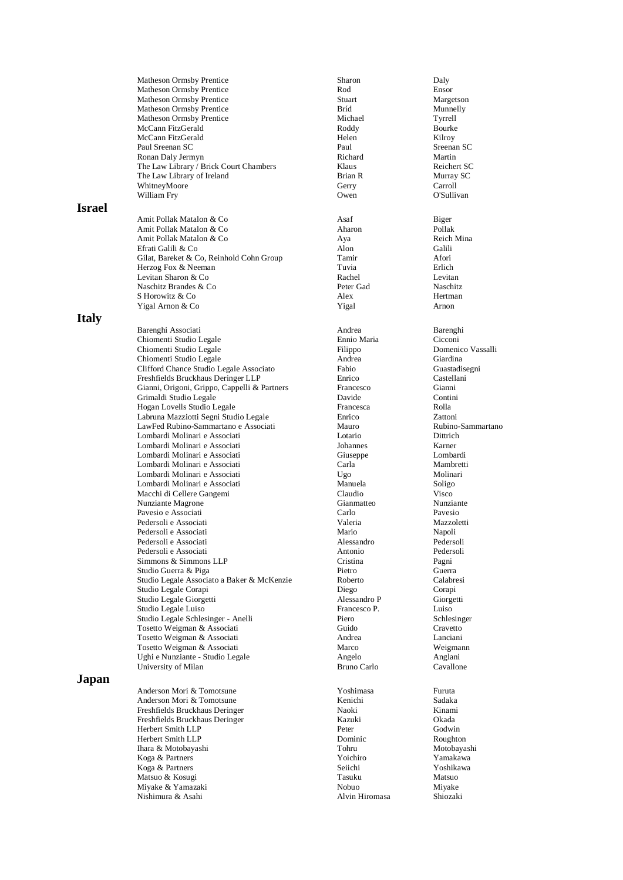|               | <b>Matheson Ormsby Prentice</b>              | Sharon             | Daly                |
|---------------|----------------------------------------------|--------------------|---------------------|
|               | Matheson Ormsby Prentice                     | Rod                | Ensor               |
|               | Matheson Ormsby Prentice                     | Stuart             | Margetson           |
|               | <b>Matheson Ormsby Prentice</b>              | Bríd               | Munnelly            |
|               | Matheson Ormsby Prentice                     | Michael            | Tyrrell             |
|               | McCann FitzGerald                            | Roddy              | Bourke              |
|               | McCann FitzGerald                            | Helen              | Kilroy              |
|               | Paul Sreenan SC                              | Paul               | Sreenan SC          |
|               | Ronan Daly Jermyn                            | Richard            | Martin              |
|               | The Law Library / Brick Court Chambers       | Klaus              | Reichert SC         |
|               | The Law Library of Ireland                   | Brian R            | Murray SC           |
|               | WhitneyMoore                                 | Gerry              | Carroll             |
|               | William Fry                                  | Owen               | O'Sullivan          |
| <b>Israel</b> |                                              |                    |                     |
|               |                                              |                    |                     |
|               | Amit Pollak Matalon & Co                     | Asaf               | Biger               |
|               | Amit Pollak Matalon & Co                     | Aharon             | Pollak              |
|               | Amit Pollak Matalon & Co                     | Aya                | Reich Mina          |
|               | Efrati Galili & Co                           | Alon               | Galili              |
|               | Gilat, Bareket & Co, Reinhold Cohn Group     | Tamir              | Afori               |
|               | Herzog Fox & Neeman                          | Tuvia              | Erlich              |
|               | Levitan Sharon & Co                          | Rachel             | Levitan             |
|               | Naschitz Brandes & Co                        | Peter Gad          | Naschitz            |
|               | S Horowitz & Co                              | Alex               | Hertman             |
|               | Yigal Arnon & Co                             | Yigal              | Arnon               |
| <b>Italy</b>  |                                              |                    |                     |
|               |                                              | Andrea             |                     |
|               | Barenghi Associati                           | Ennio Maria        | Barenghi<br>Cicconi |
|               | Chiomenti Studio Legale                      |                    |                     |
|               | Chiomenti Studio Legale                      | Filippo            | Domenico Vassalli   |
|               | Chiomenti Studio Legale                      | Andrea             | Giardina            |
|               | Clifford Chance Studio Legale Associato      | Fabio              | Guastadisegni       |
|               | Freshfields Bruckhaus Deringer LLP           | Enrico             | Castellani          |
|               | Gianni, Origoni, Grippo, Cappelli & Partners | Francesco          | Gianni              |
|               | Grimaldi Studio Legale                       | Davide             | Contini             |
|               | Hogan Lovells Studio Legale                  | Francesca          | Rolla               |
|               | Labruna Mazziotti Segni Studio Legale        | Enrico             | Zattoni             |
|               | LawFed Rubino-Sammartano e Associati         | Mauro              | Rubino-Sammartano   |
|               | Lombardi Molinari e Associati                | Lotario            | Dittrich            |
|               | Lombardi Molinari e Associati                | Johannes           | Karner              |
|               | Lombardi Molinari e Associati                | Giuseppe           | Lombardi            |
|               | Lombardi Molinari e Associati                | Carla              | Mambretti           |
|               | Lombardi Molinari e Associati                | Ugo                | Molinari            |
|               | Lombardi Molinari e Associati                | Manuela            | Soligo              |
|               | Macchi di Cellere Gangemi                    | Claudio            | Visco               |
|               | Nunziante Magrone                            | Gianmatteo         | Nunziante           |
|               | Pavesio e Associati                          | Carlo              | Pavesio             |
|               | Pedersoli e Associati                        | Valeria            | Mazzoletti          |
|               | Pedersoli e Associati                        | Mario              | Napoli              |
|               | Pedersoli e Associati                        | Alessandro         | Pedersoli           |
|               | Pedersoli e Associati                        | Antonio            | Pedersoli           |
|               | Simmons & Simmons LLP                        | Cristina           | Pagni               |
|               | Studio Guerra & Piga                         | Pietro             | Guerra              |
|               | Studio Legale Associato a Baker & McKenzie   | Roberto            | Calabresi           |
|               | Studio Legale Corapi                         | Diego              | Corapi              |
|               | Studio Legale Giorgetti                      | Alessandro P       | Giorgetti           |
|               | Studio Legale Luiso                          | Francesco P.       | Luiso               |
|               | Studio Legale Schlesinger - Anelli           | Piero              | Schlesinger         |
|               | Tosetto Weigman & Associati                  | Guido              | Cravetto            |
|               | Tosetto Weigman & Associati                  | Andrea             | Lanciani            |
|               | Tosetto Weigman & Associati                  | Marco              | Weigmann            |
|               |                                              |                    |                     |
|               | Ughi e Nunziante - Studio Legale             | Angelo             | Anglani             |
|               | University of Milan                          | <b>Bruno Carlo</b> | Cavallone           |
| Japan         |                                              |                    |                     |
|               | Anderson Mori & Tomotsune                    | Yoshimasa          | Furuta              |
|               | Anderson Mori & Tomotsune                    | Kenichi            | Sadaka              |
|               | Freshfields Bruckhaus Deringer               | Naoki              | Kinami              |
|               | Freshfields Bruckhaus Deringer               | Kazuki             | Okada               |
|               | Herbert Smith LLP                            | Peter              | Godwin              |
|               | Herbert Smith LLP                            | Dominic            | Roughton            |
|               | Ihara & Motobayashi                          | Tohru              | Motobayashi         |
|               | Koga & Partners                              | Yoichiro           | Yamakawa            |
|               | Koga & Partners                              | Seiichi            | Yoshikawa           |
|               | Matsuo & Kosugi                              | Tasuku             | Matsuo              |
|               | Miyake & Yamazaki                            | Nobuo              | Miyake              |
|               | Nishimura & Asahi                            | Alvin Hiromasa     | Shiozaki            |
|               |                                              |                    |                     |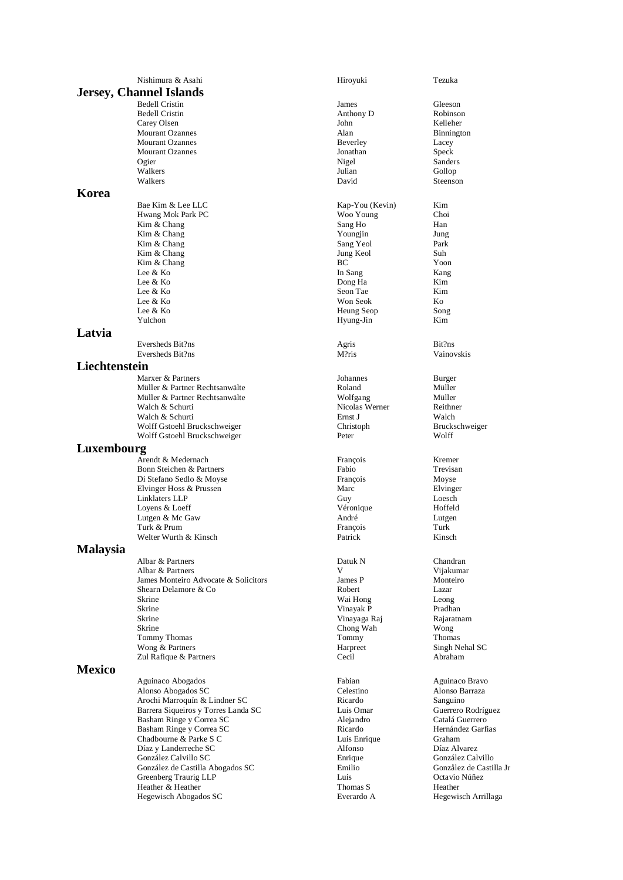|                 | Nishimura & Asahi                                   | Hiroyuki             | Tezuka               |
|-----------------|-----------------------------------------------------|----------------------|----------------------|
|                 | <b>Jersey, Channel Islands</b>                      |                      |                      |
|                 | <b>Bedell Cristin</b>                               | James                | Gleeson              |
|                 | <b>Bedell Cristin</b>                               | Anthony D            | Robinsor             |
|                 | Carey Olsen                                         | John                 | Kelleher             |
|                 | <b>Mourant Ozannes</b>                              | Alan                 | Binningto            |
|                 | <b>Mourant Ozannes</b>                              | Beverley             | Lacey                |
|                 | <b>Mourant Ozannes</b>                              | Jonathan             | <b>Speck</b>         |
|                 | Ogier                                               | Nigel                | Sanders              |
|                 | Walkers                                             | Julian               | Gollop               |
|                 | Walkers                                             | David                | Steenson             |
| Korea           |                                                     |                      |                      |
|                 | Bae Kim & Lee LLC                                   | Kap-You (Kevin)      | Kim                  |
|                 | Hwang Mok Park PC                                   | Woo Young            | Choi                 |
|                 | Kim & Chang                                         | Sang Ho              | Han                  |
|                 | Kim & Chang                                         | Youngjin             | Jung                 |
|                 | Kim & Chang                                         | Sang Yeol            | Park                 |
|                 | Kim & Chang                                         | Jung Keol            | Suh                  |
|                 | Kim & Chang                                         | BC                   | Yoon                 |
|                 | Lee & Ko                                            | In Sang              | Kang                 |
|                 | Lee & Ko                                            | Dong Ha              | Kim                  |
|                 | Lee & Ko                                            | Seon Tae             | Kim                  |
|                 | Lee & Ko                                            | Won Seok             | Ko                   |
|                 | Lee & Ko                                            | Heung Seop           | Song                 |
|                 | Yulchon                                             | Hyung-Jin            | Kim                  |
| Latvia          |                                                     |                      |                      |
|                 | Eversheds Bit?ns                                    | Agris                | Bit?ns               |
|                 | Eversheds Bit?ns                                    | M?ris                | Vainovsk             |
| Liechtenstein   |                                                     |                      |                      |
|                 | Marxer & Partners                                   | Johannes             | Burger               |
|                 | Müller & Partner Rechtsanwälte                      | Roland               | Müller               |
|                 | Müller & Partner Rechtsanwälte                      | Wolfgang             | Müller               |
|                 | Walch & Schurti                                     | Nicolas Werner       | Reithner             |
|                 | Walch & Schurti                                     | Ernst J              | Walch                |
|                 | Wolff Gstoehl Bruckschweiger                        | Christoph            | <b>Brucksch</b>      |
|                 | Wolff Gstoehl Bruckschweiger                        | Peter                | Wolff                |
| Luxembourg      |                                                     |                      |                      |
|                 | Arendt & Medernach                                  | François             | Kremer               |
|                 | Bonn Steichen & Partners                            | Fabio                | Trevisan             |
|                 | Di Stefano Sedlo & Moyse                            | François             | Moyse                |
|                 | Elvinger Hoss & Prussen                             | Marc                 | Elvinger             |
|                 | Linklaters LLP                                      | Guy                  | Loesch               |
|                 | Loyens & Loeff                                      | Véronique            | Hoffeld              |
|                 | Lutgen & Mc Gaw                                     | André                | Lutgen               |
|                 | Turk & Prum                                         | François             | Turk                 |
|                 | Welter Wurth & Kinsch                               | Patrick              | Kinsch               |
| <b>Malaysia</b> |                                                     |                      |                      |
|                 | Albar & Partners                                    | Datuk N              | Chandran             |
|                 | Albar & Partners                                    | V                    | Vijakuma             |
|                 | James Monteiro Advocate & Solicitors                | James P              | Monteiro             |
|                 | Shearn Delamore & Co                                | Robert               | Lazar                |
|                 | Skrine                                              | Wai Hong             | Leong                |
|                 | Skrine                                              | Vinayak P            | Pradhan              |
|                 | Skrine                                              | Vinayaga Raj         | Rajaratna            |
|                 | Skrine<br>Tommy Thomas                              | Chong Wah<br>Tommy   | Wong<br>Thomas       |
|                 | Wong & Partners                                     | Harpreet             | Singh Ne             |
|                 | Zul Rafique & Partners                              | Cecil                | Abraham              |
| <b>Mexico</b>   |                                                     |                      |                      |
|                 |                                                     |                      |                      |
|                 | Aguinaco Abogados                                   | Fabian               | Aguinaco             |
|                 | Alonso Abogados SC<br>Arochi Marroquín & Lindner SC | Celestino<br>Ricardo | Alonso B             |
|                 | Barrera Siqueiros y Torres Landa SC                 | Luis Omar            | Sanguinc<br>Guerrero |
|                 | Basham Ringe y Correa SC                            | Alejandro            | Catalá G             |
|                 | Basham Ringe y Correa SC                            | Ricardo              | Hernánde             |
|                 | Chadbourne & Parke S C                              | Luis Enrique         | Graham               |
|                 | Díaz y Landerreche SC                               | Alfonso              | Díaz Alv             |
|                 | González Calvillo SC                                | Enrique              | González             |
|                 | González de Castilla Abogados SC                    | Emilio               | Gonzålez             |
|                 | Greenberg Traurig LLP                               | Luis                 | Octavio l            |
|                 | Heather & Heather                                   | Thomas S             | Heather              |
|                 | Hegewisch Abogados SC                               | Everardo A           | Hegewise             |

| Hiroyuki        | Tezuka                  |
|-----------------|-------------------------|
| James           | Gleeson                 |
| Anthony D       | Robinson                |
| John            | Kelleher                |
| Alan            | Binnington              |
| Beverley        | Lacey                   |
| Jonathan        | Speck                   |
|                 | Sanders                 |
| Nigel<br>Julian | Gollop                  |
| David           | Steenson                |
|                 |                         |
| Kap-You (Kevin) | Kim                     |
| Woo Young       | Choi                    |
| Sang Ho         | Han                     |
| Youngjin        | Jung                    |
| Sang Yeol       | Park                    |
| Jung Keol       | Suh                     |
| ВC              | Yoon                    |
| In Sang         | Kang                    |
| Dong Ha         | Kim                     |
| Seon Tae        | Kim                     |
| Won Seok        | Ko                      |
| Heung Seop      | Song                    |
| Hyung-Jin       | Kim                     |
|                 |                         |
| Agris           | Bit?ns                  |
| M?ris           | Vainovskis              |
|                 |                         |
| Johannes        | Burger                  |
| Roland          | Müller                  |
| Wolfgang        | Müller                  |
| Nicolas Werner  | Reithner                |
| Ernst J         | Walch                   |
| Christoph       | Bruckschweiger          |
| Peter           | Wolff                   |
|                 |                         |
| François        | Kremer                  |
| Fabio           | Trevisan                |
| François        | Moyse                   |
| Marc            | Elvinger                |
| Guy             | Loesch                  |
| Véronique       | Hoffeld                 |
| André           | Lutgen                  |
| François        | Turk                    |
| Patrick         | Kinsch                  |
|                 |                         |
| Datuk N         | Chandran                |
| V               | Vijakumar               |
| James P         | Monteiro                |
| Robert          | Lazar                   |
| Wai Hong        | Leong                   |
| Vinayak P       | Pradhan                 |
| Vinayaga Raj    | Rajaratnam              |
| Chong Wah       | Wong                    |
| Tommy           | Thomas                  |
| Harpreet        | Singh Nehal SC          |
| Cecil           | Abraham                 |
|                 |                         |
|                 |                         |
| Fabian          | Aguinaco Bravo          |
| Celestino       | Alonso Barraza          |
| Ricardo         | Sanguino                |
| Luis Omar       | Guerrero Rodríguez      |
| Alejandro       | Catalá Guerrero         |
| Ricardo         | Hernández Garfias       |
| Luis Enrique    | Graham                  |
| Alfonso         | Díaz Alvarez            |
| Enrique         | González Calvillo       |
| Emilio          | Gonzålez de Castilla Jr |
| Luis            | Octavio Núñez           |
| Thomas S        | Heather                 |
| Everardo A      | Hegewisch Arrillaga     |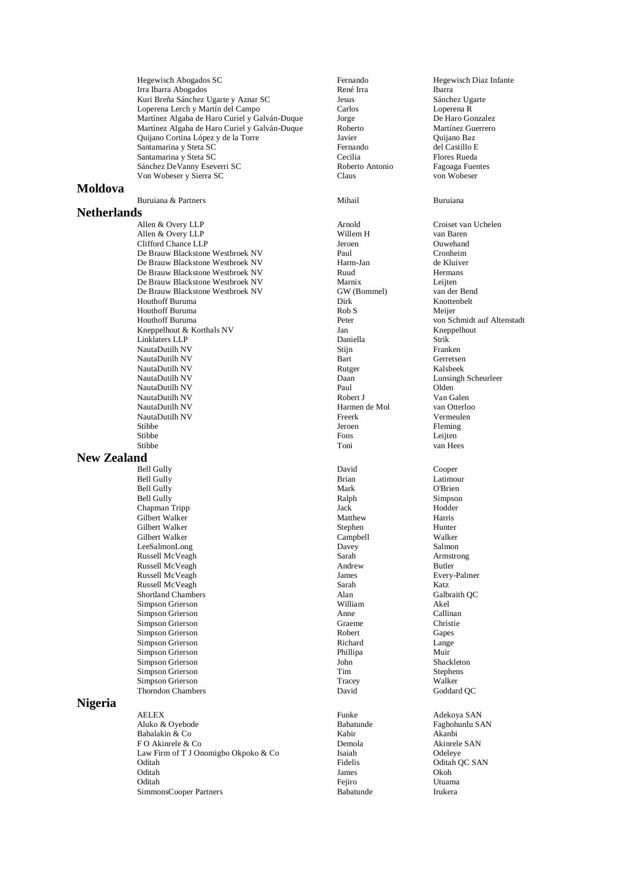Hegewisch Abogados SC **Fernando** Hegewisch Diaz Infante<br> **Hegewisch Diaz Infante**<br> **René Irra Hegewisch Diaz Infante** Irra Ibarra Abogados **René Irra** Ibarra Ibarra Ibarra Ibarra Ibarra Ibarra Ibarra Ibarra Ibarra Ibarra Ibarra Ibarra Ibarra Ibarra Ibarra Ibarra Ibarra Ibarra Ibarra Ibarra Ibarra Ibarra Ibarra Ibarra Ibarra Ibarra Ibarra Kuri Breña Sánchez Ugarte y Aznar SC Jesus Sánchez Ugarte Loperena Lerch y Martín del Campo Carlos Loperena R Martínez Algaba de Haro Curiel y Galván-Duque Jorge De Haro Gonzalez Martínez Algaba de Haro Curiel y Galván-Duque Roberto Martínez Guerrero Quijano Cortina López y de la Torre Javier Quijano Baz Santamarina y Steta SC<br>
Santamarina y Steta SC<br>
Santamarina y Steta SC Santamarina y Steta SC Cecilia Flores Rueda Sánchez DeVanny Eseverri SC Roberto Antonio Fagoaga Fuentes<br>
Von Wobeser v Sierra SC Claus Claus Claus Von Wobeser y Sierra SC

## **Moldova**

Buruiana & Partners Mihail Buruiana

## **Netherlands**

Allen & Overy LLP Arnold Croiset van Uchelen Allen & Overy LLP<br>
Clifford Chance LLP<br>
Clifford Chance LLP<br>
Clifford Chance LLP<br>
Clifford Chance LLP<br>
Clifford Chance LLP<br>
Clifford Chance LLP Clifford Chance LLP Jeroen Ouwehand De Brauw Blackstone Westbroek NV Paul De Brauw Blackstone Westbroek NV Harm-Jan de Kluiver De Brauw Blackstone Westbroek NV Ruud Ruud Hermans<br>De Brauw Blackstone Westbroek NV Marnix Marnix Leiten De Brauw Blackstone Westbroek NV Marnix Leijten De Brauw Blackstone Westbroek NV Houthoff Buruma Dirk Knottenbelt Houthoff Buruma<br>
Houthoff Buruma<br>
Peter Kneppelhout & Korthals NV Jan Kneppelhout Linklaters LLP Daniella Strik NautaDutilh NV NautaDutilh NV Bart Gerretsen NautaDutilh NV Rutger Kalsbeek NautaDutilh NV Paul Olden NautaDutilh NV Robert J Van Galen NautaDutilh NV Harmen de Mol van Otterloo NautaDutilh NV Stibbe **I**eroen Fleming Stibbe **Fons** Leijten Stibbe Toni van Hees

## **New Zealand**

Bell Gully David Cooper Bell Gully **Brian** Latimour Bell Gully **Mark** O'Brien Bell Gully Ralph Simpson Chapman Tripp Jack Jack Jack Jack Hodder (1989) Gilbert Walker Harris Gilbert Walker Stephen Hunter Gilbert Walker Campbell Walker LeeSalmonLong Russell McVeagh Sarah Armstrong Russell McVeagh Russell McVeagh James Every-Palmer Russell McVeagh **Sarah Sarah Katz** Katz<br>
Shortland Chambers **Shortland Chambers** Alan Galbraith OC Shortland Chambers Alan Galbraith QC Simpson Grierson and Callination and Callinum and Akel Attack and Akel Assembly Callinum Akel Attack Callinum Akel Attack Callinum Akel Attack Callinum Akel Attack Callinum Akel Attack Callinum Attack Callinum Attack Calli Simpson Grierson Anne Simpson Grierson Graeme Christie<br>
Simpson Grierson Graeme Christie<br>
Gapes Simpson Grierson Simpson Grierson Richard Lange Simpson Grierson Phillipa Muir Simpson Grierson Shackleton John Shackleton Simpson Grierson Shackleton Shackleton Shackleton Shackleton Shackleton Shackleton Shackleton Shackleton Shackleton Shackleton Shackleton Shackleton Shackleton Shackleton Shackle Simpson Grierson and Tim Stephen<br>Simpson Grierson Simpson Contract Contract Contract Contract Contract Contract Contract Contract Contract Contra<br>Tracey Stephen Simpson Contract Contract Contract Contract Contract Contract Simpson Grierson and Summary School and Tracey and Walker Walker<br>
Thorndon Chambers Communication Communication Communication Communication Communication Communication Communication Communication Communication Communicatio Thorndon Chambers

# **Nigeria**

AELEX Funke Adekoya SAN Aluko & Oyebode Babatunde Fagbohunlu SAN Babalakin & Co F O Akinrele & Co **Demola Co Demola** Akinrele SAN Law Firm of T J Onomigbo Okpoko & Co Isaiah Odeleye Oditah Pidelis Oditah QC SAN<br>Oditah James Okoh Oditah James Okoh Oditah Fejiro Utuama SimmonsCooper Partners Babatunde Irukera

von Schmidt auf Altenstadt Nauta Daan Lunsingh Scheurleer<br>Paul Diden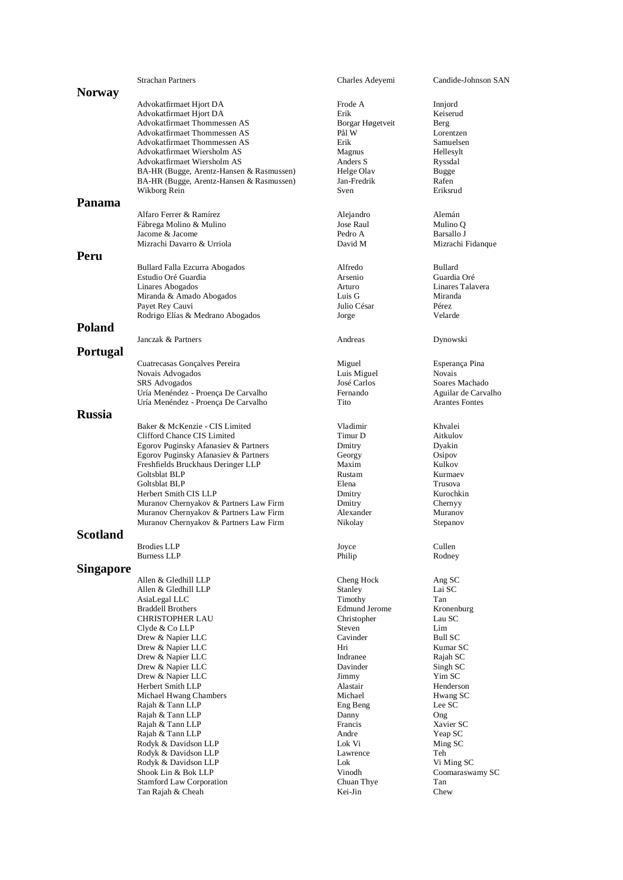|               | <b>Strachan Partners</b>                                 | Charles Adeyemi           | Candide-Johnson SAN             |
|---------------|----------------------------------------------------------|---------------------------|---------------------------------|
| <b>Norway</b> |                                                          |                           |                                 |
|               | Advokatfirmaet Hjort DA                                  | Frode A                   | Innjord                         |
|               | Advokatfirmaet Hjort DA                                  | Erik                      | Keiserud                        |
|               | Advokatfirmaet Thommessen AS                             | Borgar Høgetveit          | Berg                            |
|               | Advokatfirmaet Thommessen AS                             | Pål W                     | Lorentzen                       |
|               | Advokatfirmaet Thommessen AS                             | Erik                      | Samuelsen                       |
|               | Advokatfirmaet Wiersholm AS                              | Magnus                    | Hellesylt                       |
|               | Advokatfirmaet Wiersholm AS                              | Anders S                  | Ryssdal                         |
|               | BA-HR (Bugge, Arentz-Hansen & Rasmussen)                 | Helge Olav<br>Jan-Fredrik | <b>Bugge</b>                    |
|               | BA-HR (Bugge, Arentz-Hansen & Rasmussen)<br>Wikborg Rein | Sven                      | Rafen<br>Eriksrud               |
| Panama        |                                                          |                           |                                 |
|               |                                                          |                           |                                 |
|               | Alfaro Ferrer & Ramírez                                  | Alejandro                 | Alemán                          |
|               | Fábrega Molino & Mulino<br>Jacome & Jacome               | Jose Raul<br>Pedro A      | Mulino Q<br>Barsallo J          |
|               | Mizrachi Davarro & Urriola                               | David M                   | Mizrachi Fidanque               |
| Peru          |                                                          |                           |                                 |
|               |                                                          |                           |                                 |
|               | Bullard Falla Ezcurra Abogados                           | Alfredo<br>Arsenio        | <b>Bullard</b><br>Guardia Oré   |
|               | Estudio Oré Guardia<br>Linares Abogados                  | Arturo                    | Linares Talavera                |
|               | Miranda & Amado Abogados                                 | Luis G                    | Miranda                         |
|               | Payet Rey Cauvi                                          | Julio César               | Pérez                           |
|               | Rodrigo Elías & Medrano Abogados                         | Jorge                     | Velarde                         |
| <b>Poland</b> |                                                          |                           |                                 |
|               | Janczak & Partners                                       | Andreas                   | Dynowski                        |
| Portugal      |                                                          |                           |                                 |
|               |                                                          |                           |                                 |
|               | Cuatrecasas Gonçalves Pereira<br>Novais Advogados        | Miguel<br>Luis Miguel     | Esperança Pina<br><b>Novais</b> |
|               | SRS Advogados                                            | José Carlos               | Soares Machado                  |
|               | Uría Menéndez - Proença De Carvalho                      | Fernando                  | Aguilar de Carvalho             |
|               | Uría Menéndez - Proença De Carvalho                      | Tito                      | <b>Arantes Fontes</b>           |
| <b>Russia</b> |                                                          |                           |                                 |
|               | Baker & McKenzie - CIS Limited                           | Vladimir                  | Khvalei                         |
|               | Clifford Chance CIS Limited                              | Timur D                   | Aitkulov                        |
|               | Egorov Puginsky Afanasiev & Partners                     | Dmitry                    | Dyakin                          |
|               | Egorov Puginsky Afanasiev & Partners                     | Georgy                    | Osipov                          |
|               | Freshfields Bruckhaus Deringer LLP                       | Maxim                     | Kulkov                          |
|               | <b>Goltsblat BLP</b>                                     | Rustam                    | Kurmaey                         |
|               | Goltsblat BLP<br>Herbert Smith CIS LLP                   | Elena                     | Trusova<br>Kurochkin            |
|               | Muranov Chernyakov & Partners Law Firm                   | Dmitry<br>Dmitry          | Chernyy                         |
|               | Muranov Chernyakov & Partners Law Firm                   | Alexander                 | Muranov                         |
|               | Muranov Chernyakov & Partners Law Firm                   | Nikolay                   | Stepanov                        |
| Scotland      |                                                          |                           |                                 |
|               | <b>Brodies LLP</b>                                       | Joyce                     | Cullen                          |
|               | <b>Burness LLP</b>                                       | Philip                    | Rodney                          |
| Singapore     |                                                          |                           |                                 |
|               | Allen & Gledhill LLP                                     | Cheng Hock                | Ang SC                          |
|               | Allen & Gledhill LLP                                     | Stanley                   | Lai SC                          |
|               | AsiaLegal LLC                                            | Timothy                   | Tan                             |
|               | <b>Braddell Brothers</b>                                 | <b>Edmund Jerome</b>      | Kronenburg                      |
|               | CHRISTOPHER LAU                                          | Christopher               | Lau SC                          |
|               | Clyde & Co LLP                                           | Steven                    | Lim                             |
|               | Drew & Napier LLC                                        | Cavinder                  | Bull SC                         |
|               | Drew & Napier LLC<br>Drew & Napier LLC                   | Hri<br>Indranee           | Kumar SC<br>Rajah SC            |
|               | Drew & Napier LLC                                        | Davinder                  | Singh SC                        |
|               | Drew & Napier LLC                                        | Jimmy                     | Yim SC                          |
|               | Herbert Smith LLP                                        | Alastair                  | Henderson                       |
|               | Michael Hwang Chambers                                   | Michael                   | Hwang SC                        |
|               | Rajah & Tann LLP                                         | Eng Beng                  | Lee SC                          |
|               | Rajah & Tann LLP                                         | Danny                     | Ong                             |
|               | Rajah & Tann LLP                                         | Francis                   | Xavier SC                       |
|               | Rajah & Tann LLP                                         | Andre                     | Yeap SC                         |
|               | Rodyk & Davidson LLP<br>Rodyk & Davidson LLP             | Lok Vi<br>Lawrence        | Ming SC<br>Teh                  |
|               | Rodyk & Davidson LLP                                     | Lok                       | Vi Ming SC                      |
|               | Shook Lin & Bok LLP                                      | Vinodh                    | Coomaraswamy SC                 |
|               | <b>Stamford Law Corporation</b>                          | Chuan Thye                | Tan                             |
|               | Tan Rajah & Cheah                                        | Kei-Jin                   | Chew                            |
|               |                                                          |                           |                                 |
|               |                                                          |                           |                                 |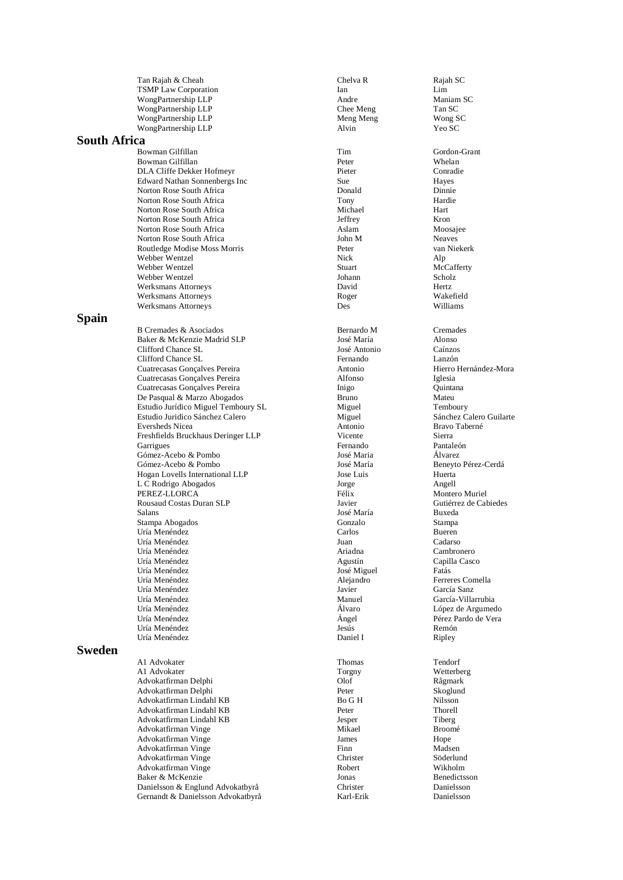Tan Rajah & Cheah Chelva R Chelva R Rajah SC TSMP Law Corporation Ian Lim WongPartnership LLP<br>
WongPartnership LLP<br>
Chee Meng<br>
Tan SC<br>
Tan SC WongPartnership LLP Chee Meng Tan SC Chee Meng Tan SC Chee Meng Tan SC Chee Meng Tan SC Chee Meng Alexander Chee Meng Meng SC Chee Meng SC Chee Meng SC Chee Meng SC Chee Meng SC Chee Meng SC Chee Meng SC Chee Meng SC Chee WongPartnership LLP Meng Meng WongPartnership LLP Alvin Alvin Yeo SC

## **South Africa**

Bowman Gilfillan Tim Bowman Gilfillan (Basilian Peter Mines Whelan Peter Mines Whelan Peter School of the Mines of the Mines of the Mines Peter School of the Conradie Conradie DLA Cliffe Dekker Hofmeyr Edward Nathan Sonnenbergs Inc Sue Sue Hayes<br>
Norton Rose South Africa<br>
Donald Dinnie Norton Rose South Africa **Donald Dinnie**<br>
Norton Rose South Africa **Dinnie Book** Dinnie Book and Dinnie Book and Dinnie Book and Dinnie Book and Dinnie B Norton Rose South Africa<br>
Norton Rose South Africa<br>
Michael Norton Rose South Africa Michael Hart Norton Rose South Africa **Secure 19 and September 19 and Secure 20 and Secure 20 and Secure 20 and Secure 20 and Secure 20 and Secure 20 and Secure 20 and Secure 20 and Secure 20 and Secure 20 and Secure 20 and Secure 20 a** Norton Rose South Africa<br>
Norton Rose South Africa<br>
Norton Rose South Africa<br>
Moosajee Mohn M Norton Rose South Africa Routledge Modise Moss Morris Peter van Niekerk Webber Wentzel Nick Alp Webber Wentzel Webber Wentzel Johann Scholz Werksmans Attorneys David Hertz Werksmans Attorneys Roger Wakefield Werksmans Attorneys Des

## **Spain**

B Cremades & Asociados Bernardo M Cremades Baker & McKenzie Madrid SLP José María Alonso Clifford Chance SL José Antonio Caínzos Clifford Chance SL Cuatrecasas Gonçalves Pereira Antonio Hierro Hernández Cuatrecasas Gonçalves Pereira Alfonso Iglesia Cuatrecasas Gonçalves Pereira **Inigo** De Pasqual & Marzo Abogados Bruno Mateu Estudio Jurídico Miguel Temboury SL Miguel Miguel Temboury SL Miguel Temboury Sánchez Calero Guilarte Estudio Juridico Sánchez Calero Eversheds Nicea Antonio Bravo Taberné Freshfields Bruckhaus Deringer LLP Vicente Sierra Garrigues Fernando Pantaleón Gómez -Acebo & Pombo José Maria Álvarez Gómez -Acebo & Pombo José María Beneyto Pérez Hogan Lovells International LLP Jose Luis Huerta LC Rodrigo Abogados Jorge Angell L C Rodrigo Abogados Jorge Angell PEREZ-LLORCA Rousaud Costas Duran SLP Javier Gutiérrez de Cabiedes Salans José María Buxeda Stampa Abogados Uría Menéndez Carlos Bueren Uría Menéndez Juan Cadarso Uría Menéndez Ariadna Cambronero Uría Menéndez **Agustín** Capilla Casco Uría Menéndez José Miguel Fatás Uría Menéndez Alejandro Ferreres Comella Uría Menéndez Javier García Sanz Uría Menéndez Uría Menéndez Álvaro López de Argumedo Uría Menéndez Ángel Pérez Pardo de Vera Uría Menéndez Jesús Remón Uría Menéndez Daniel I Ripley

# **Sweden**

A1 Advokater Thomas Tendorf Thomas Tendorf (A1 Advokater Torgny Tendorf Torgny Wetterberg) A1 Advokater Material Christian Metal Controller and Torgny Metterberg Wetterberg (Material Christian Material Christian Material Christian Material Christian Material Christian Material Christian Material Christian Materi Advokatfirman Delphi Olof Rågmark Advokatfirman Delphi Advokatfirman Lindahl KB Bo G H Nilsson Advokatfirman Lindahl KB Peter Thorell Advokatfirman Lindahl KB Jesper Tiberg Advokatfirman Vinge Mikael Broomé Advokatfirman Vinge 1986 1996 1997 - James 1998 1999 Hope Hope Hope 1998 Hope 1998 1999 Hope 1999 Hope 1999 Hope 1999 Hope 1999 Hope 1999 Hope 1999 Hope 1999 Hope 1999 Hope 1999 Hope 1999 Hope 1999 Hope 1999 Hope 1999 Hope Advokatfirman Vinge Advokatfirman Vinge Christer Söderlund Advokatfirman Vinge *Robert* Robert Wikholm Baker & McKenzie Wikholm Baker & McKenzie Baker & McKenzie Jonas<br>Danielsson & Englund Advokatbyrå (Stephene Schrister) Danielsson & Englund Advokatbyrå Christer Danielsson Gernandt & Danielsson Advokatbyrå Karl-Erik

Gordon-Grant Hierro Hernández-Mora Beneyto Pérez-Cerdá Montero Muriel García-Villarrubia Danielsson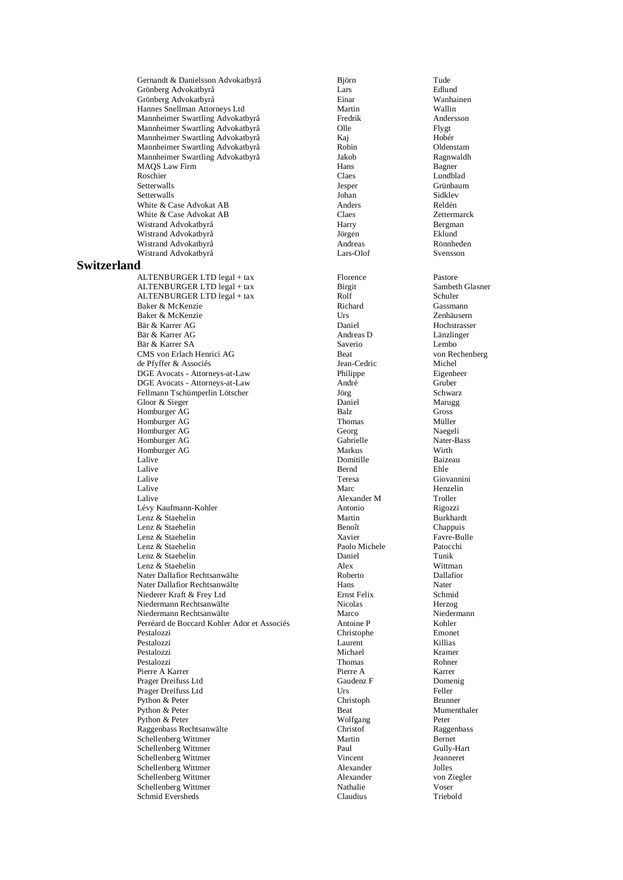Gernandt & Danielsson Advokatbyrå Björn Tude Grönberg Advokatbyrå Lars Edlund Grönberg Advokatbyrå Einar Wanhainen Hannes Snellman Attorneys Ltd Martin Wallin Mannheimer Swartling Advokatbyrå Mannheimer Swartling Advokatbyrå Olle Flygt Mannheimer Swartling Advokatbyrå Kaj Hobér Mannheimer Swartling Advokatbyrå Robin Oldenstam Mannheimer Swartling Advokatbyrå Jakob Ragnwaldh MAQS Law Firm The Class of the Hans Bagner Boschier Bagner Class Class Class Bagner Bagner Bagner Bagner Bagner Roschier Claes Lundblad Setterwalls Jesper Grünbaum Setterwalls Sidklev and Sidklev and Sidklev and Sidklev and Sidklev and Sidklev and Sidklev and Sidklev and Si White & Case Advokat AB <br>
White & Case Advokat AB Claes Claes 2 (2015)<br>
Claes 2 (2016) White & Case Advokat AB Claes Zettermarck Wistrand Advokatbyrå **Example 2018** Harry Bergman Wistrand Advokatbyrå Jörgen Eklund Wistrand Advokatbyrå Andreas Rönnheden Wistrand Advokatbyrå Lars-Olof Svensson **Switzerland** ALTENBURGER LTD legal + tax Florence Pastore ALTENBURGER LTD legal + tax Birgit Sambeth Glasner<br>
ALTENBURGER LTD legal + tax Rolf Schuler Schuler ALTENBURGER LTD legal + tax Rolf Rolf Schuler Schuler<br>Baker & McKenzie Schuler Richard Schware Schuler Baker & McKenzie Communication of the Richard Cassmann Gassmann Gassmann Cassmann Communication of the Richard Cassmann Communication of the Richard Cassmann Communication of the Richard Communication of the Communication Baker & McKenzie Urs Zenhäusern Bär & Karrer AG Bär & Karrer AG <br>Bär & Karrer SA **Andreas D** Länzlinger<br>Bär & Karrer SA **Andreas D** Lembo Bär & Karrer SA Saverio CMS von Erlach Henrici AG Beat Beat von Rechenberg de Pfyffer & Associés von Rechenberg de Pfyffer & Associés de Pfyffer & Associés Jean-Cedric Michel DGE Avocats - Attorneys-at-Law Philippe Eigenheer Eigenheer<br>
DGE Avocats - Attorneys-at-Law André André Gruber DGE Avocats - Attorneys-at-Law André Gruber Fellmann Tschümperlin Lötscher Gloor & Sieger Daniel Marugg Homburger AG Balz Gross Campbell and the Balz Gross Contract of the Balz Gross Contract of the Balz Gross Contract of the Balz Gross Contract of the Balz Gross Contract of the Balz Gross Contract of the Balz Gross Contract Homburger AG Thomas Müller Homburger AG Georg Naegeli Homburger AG Gabrielle Nater-<br>Homburger AG Markus Nater-Basset of Markus With Homburger AG Markus Warkus Wirth Wirth Wirth Warkus Wirth Warkus Wirth Wirth Wirth Wirth Wirth Wirth Wirth Wirth Wirth Wirth Wirth Wirth Wirth Wirth Wirth Wirth Wirth Wirth Wirth Wirth Wirth Wirth Wirth Wirth Wirth Wirth W Lalive Baizeau and the Domitille Baizeau and Baizeau and the Baizeau and the Baizeau and the Baizeau and the Baizeau and the Baizeau and the Baizeau and the Baizeau and the Baizeau and the Baizeau and the Baizeau and the B Lalive **Bernd** Ehle Lalive Teresa Giovannini Lalive **Contract Contract Contract Contract Contract Contract Contract Contract Contract Contract Contract Contract Contract Contract Contract Contract Contract Contract Contract Contract Contract Contract Contract Contrac** Lalive 1992<br>
Lévy Kaufmann-Kohler 1993<br>
Antonio 1993<br>
Antonio 1993<br>
Nigozzi Lévy Kaufmann-Kohler Antonio Rigozzi Lenz  $&$  Staehelin Lenz & Staehelin and Benoît Chappuis Chappuis Chappuis Chappuis Chappuis Chappuis Chappuis Chappuis Chappuis Chappuis Chappuis Chappuis Chappuis Chappuis Chappuis Chappuis Chappuis Chappuis Chappuis Chappuis Chappuis Chapp Lenz & Staehelin Favre-Bullet and Staehelin Favre-Bullet and State Favre-Bullet and State Favre-Bullet and Staehelin Favre-Bullet and Packet Packet Packet Packet Packet Packet Packet Packet Packet Packet Packet Packet Pack Lenz & Staehelin Paolo Michele Patocchine Paolo Michele Patocchine Paolo Michele Patocchine Patocchine Patocchine Patocchine Patocchine Patocchine Patocchine Patocchine Patocchine Patocchine Patocchine Patocchine Patocchin Lenz & Staehelin Daniel Tunik Lenz & Staehelin Nater Dallafior Rechtsanwälte **Roberto** Roberto Dallafior Nater Dallafior Rechtsanwälte Hans Hans Nater<br>Niederer Kraft & Frey I td Niederer Kraft & Frey Ltd Ernst Felix Schmid Niedermann Rechtsanwälte **Nicolas Michael († 18. ún**ó - Nicolas **Herzog Herzog Alemann)**<br>Niedermann Rechtsanwälte Marco Marco Niedermann Niedermann Rechtsanwälte Perréard de Boccard Kohler Ador et Associés Antoine P Kohler Pestalozzi Laurent Killias Pestalozzi Michael Kramer Pestalozzi **Rohner** Rohner Rohner Rohner Rohner Rohner Rohner Rohner Rohner Rohner Rohner Rohner Rohner Rohner Pierre A Karrer 1997 - Pierre A Karrer 1997 - Pierre A Karrer 1997 - Manuel Prager Dreifuss Ltd 1997 - Caudenz F Caudenz F 2008 - Domenig Prager Dreifuss Ltd Gaudenz F Dome<br>Prager Dreifuss Ltd Urs Urs Feller Prager Dreifuss Ltd Urs Felix Felix Felix Felix Felix Felix Felix Felix Felix Felix Felix Felix Felix Felix Felix Felix Felix Felix Felix Felix Felix Felix Felix Felix Felix Felix Felix Felix Felix Felix Felix Felix Felix Python & Peter Christoph Brunner<br>
Python & Peter Beat Beat Mumenthaler Python & Peter Beat Beat Rython & Peter Beat Rython & Peter Beat All and Mument Beat All and Mument Beat All and Mument Beat All and Mument Beat All and Mument Beat All and Mument Beat All and Mument Beat All and Mument Be Python & Peter Python and Peter Peter Wolfgang Peter Raggenbass Rechtsanwälte Christof Raggenbass Schellenberg Wittmer Martin Bernet Schellenberg Wittmer Schellenberg Wittmer Vincent Jeanneret Schellenberg Wittmer Alexander Jolles Schellenberg Wittmer and Alexander Alexander Schellenberg Wittmer and Ziegler and Ziegler and Ziegler and Zieg<br>
Schellenberg Wittmer and Ziegler and Ziegler and Ziegler and Ziegler and Ziegler and Ziegler and Ziegler and Z Schellenberg Wittmer Nathalie Voser Schmid Eversheds Claudius Triebold

Christophe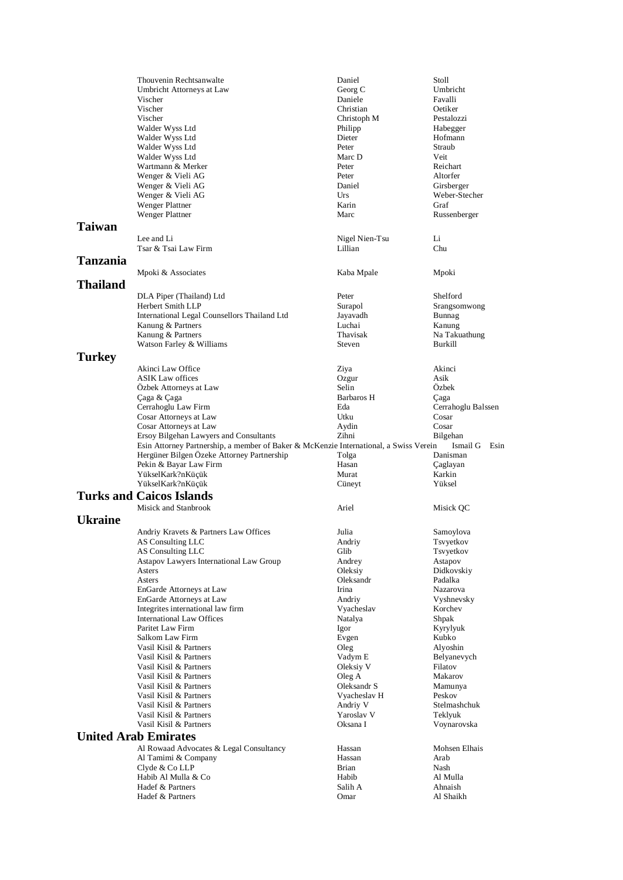|          | Thouvenin Rechtsanwalte                                                               | Daniel         | Stoll              |
|----------|---------------------------------------------------------------------------------------|----------------|--------------------|
|          | Umbricht Attorneys at Law                                                             | Georg C        | Umbricht           |
|          | Vischer                                                                               | Daniele        | Favalli            |
|          | Vischer                                                                               | Christian      | Oetiker            |
|          | Vischer                                                                               | Christoph M    | Pestalozzi         |
|          | Walder Wyss Ltd                                                                       | Philipp        | Habegger           |
|          | Walder Wyss Ltd                                                                       | Dieter         | Hofmann            |
|          | Walder Wyss Ltd                                                                       | Peter          | Straub             |
|          | Walder Wyss Ltd                                                                       | Marc D         | Veit               |
|          | Wartmann & Merker                                                                     | Peter          | Reichart           |
|          | Wenger & Vieli AG                                                                     | Peter          | Altorfer           |
|          | Wenger & Vieli AG                                                                     | Daniel         | Girsberger         |
|          | Wenger & Vieli AG                                                                     | Urs            | Weber-Stecher      |
|          | Wenger Plattner                                                                       | Karin          | Graf               |
|          | Wenger Plattner                                                                       | Marc           | Russenberger       |
| Taiwan   |                                                                                       |                |                    |
|          | Lee and Li                                                                            | Nigel Nien-Tsu | Li                 |
|          | Tsar & Tsai Law Firm                                                                  | Lillian        | Chu                |
| Tanzania |                                                                                       |                |                    |
|          |                                                                                       |                |                    |
|          | Mpoki & Associates                                                                    | Kaba Mpale     | Mpoki              |
| Thailand |                                                                                       |                |                    |
|          | DLA Piper (Thailand) Ltd                                                              | Peter          | Shelford           |
|          | Herbert Smith LLP                                                                     | Surapol        | Srangsomwong       |
|          | International Legal Counsellors Thailand Ltd                                          | Jayavadh       | Bunnag             |
|          | Kanung & Partners                                                                     | Luchai         | Kanung             |
|          | Kanung & Partners                                                                     | Thavisak       | Na Takuathung      |
|          | Watson Farley & Williams                                                              | Steven         | Burkill            |
| Turkey   |                                                                                       |                |                    |
|          | Akinci Law Office                                                                     | Ziya           | Akinci             |
|          | <b>ASIK Law offices</b>                                                               | Ozgur          | Asik               |
|          | Özbek Attorneys at Law                                                                | Selin          | Özbek              |
|          | Çaga & Çaga                                                                           | Barbaros H     | Çaga               |
|          | Cerrahoglu Law Firm                                                                   | Eda            | Cerrahoglu Balssen |
|          | Cosar Attorneys at Law                                                                | Utku           | Cosar              |
|          | Cosar Attorneys at Law                                                                | Aydin          | Cosar              |
|          | Ersoy Bilgehan Lawyers and Consultants                                                | Zihni          | Bilgehan           |
|          | Esin Attorney Partnership, a member of Baker & McKenzie International, a Swiss Verein |                | Ismail G<br>Esin   |
|          | Hergüner Bilgen Özeke Attorney Partnership                                            | Tolga          | Danisman           |
|          | Pekin & Bayar Law Firm                                                                | Hasan          | Çaglayan           |
|          | YükselKark?nKüçük                                                                     | Murat          | Karkin             |
|          | YükselKark?nKüçük                                                                     | Cüneyt         | Yüksel             |
|          | <b>Turks and Caicos Islands</b>                                                       |                |                    |
|          | Misick and Stanbrook                                                                  |                |                    |
|          |                                                                                       | Ariel          | Misick QC          |
| Ukraine  |                                                                                       |                |                    |
|          | Andriy Kravets & Partners Law Offices                                                 | Julia          | Samoylova          |
|          | AS Consulting LLC                                                                     | Andriy         | Tsvyetkov          |
|          | AS Consulting LLC                                                                     | Glib           | Tsvyetkov          |
|          | Astapov Lawyers International Law Group                                               | Andrey         | Astapov            |
|          | Asters                                                                                | Oleksiy        | Didkovskiy         |
|          | Asters                                                                                | Oleksandr      | Padalka            |
|          | EnGarde Attorneys at Law                                                              | Irina          | Nazarova           |
|          | EnGarde Attorneys at Law                                                              | Andriy         | Vyshnevsky         |
|          | Integrites international law firm                                                     | Vyacheslav     | Korchev            |
|          | <b>International Law Offices</b>                                                      | Natalya        | Shpak              |
|          | Paritet Law Firm                                                                      | Igor           | Kyrylyuk           |
|          | Salkom Law Firm                                                                       | Evgen          | Kubko              |
|          | Vasil Kisil & Partners                                                                | Oleg           | Alyoshin           |
|          | Vasil Kisil & Partners                                                                | Vadym E        | Belyanevych        |
|          | Vasil Kisil & Partners                                                                | Oleksiy V      | Filatov            |
|          | Vasil Kisil & Partners                                                                | Oleg A         | Makarov            |
|          | Vasil Kisil & Partners                                                                | Oleksandr S    | Mamunya            |
|          | Vasil Kisil & Partners                                                                | Vyacheslav H   | Peskov             |
|          | Vasil Kisil & Partners                                                                | Andriy V       | Stelmashchuk       |
|          | Vasil Kisil & Partners                                                                | Yaroslav V     | Teklyuk            |
|          | Vasil Kisil & Partners                                                                | Oksana I       | Voynarovska        |
|          | <b>United Arab Emirates</b>                                                           |                |                    |
|          | Al Rowaad Advocates & Legal Consultancy                                               | Hassan         | Mohsen Elhais      |
|          | Al Tamimi & Company                                                                   | Hassan         | Arab               |
|          | Clyde & Co LLP                                                                        | <b>Brian</b>   | Nash               |
|          | Habib Al Mulla & Co                                                                   | Habib          | Al Mulla           |
|          | Hadef & Partners                                                                      | Salih A        | Ahnaish            |
|          | Hadef & Partners                                                                      | Omar           | Al Shaikh          |
|          |                                                                                       |                |                    |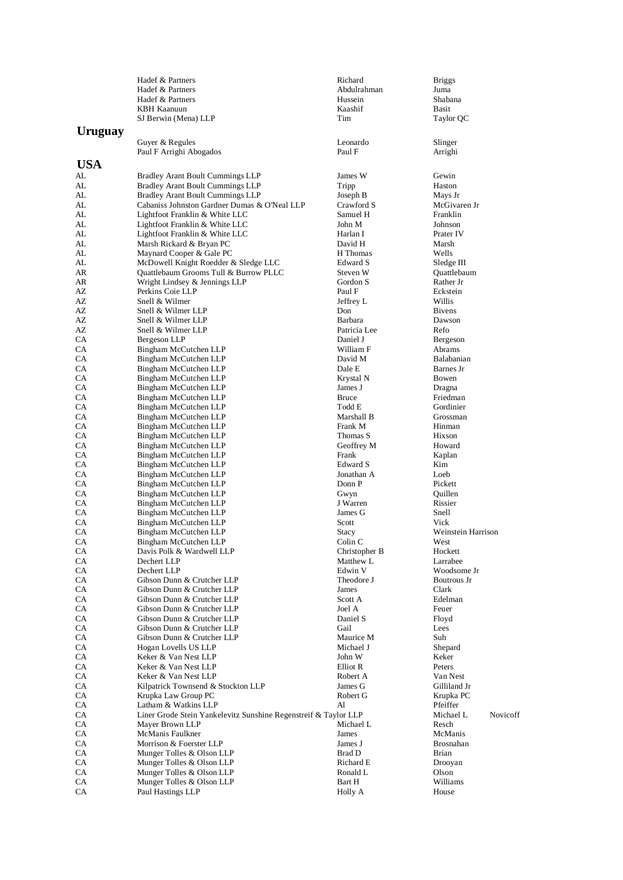|            | Hadef & Partners                                                                        | Richard                | <b>Briggs</b>                     |
|------------|-----------------------------------------------------------------------------------------|------------------------|-----------------------------------|
|            | Hadef & Partners                                                                        | Abdulrahman            | Juma                              |
|            | Hadef & Partners                                                                        | Hussein                | Shabana                           |
|            | <b>KBH Kaanuun</b><br>SJ Berwin (Mena) LLP                                              | Kaashif<br>Tim         | Basit<br>Taylor QC                |
|            |                                                                                         |                        |                                   |
| Uruguay    |                                                                                         |                        |                                   |
|            | Guyer & Regules                                                                         | Leonardo               | Slinger                           |
|            | Paul F Arrighi Abogados                                                                 | Paul F                 | Arrighi                           |
| <b>USA</b> |                                                                                         |                        |                                   |
| AL         | <b>Bradley Arant Boult Cummings LLP</b>                                                 | James W                | Gewin                             |
| AL         | <b>Bradley Arant Boult Cummings LLP</b>                                                 | Tripp                  | Haston                            |
| AL         | <b>Bradley Arant Boult Cummings LLP</b>                                                 | Joseph B<br>Crawford S | Mays Jr                           |
| AL         | Cabaniss Johnston Gardner Dumas & O'Neal LLP<br>Lightfoot Franklin & White LLC          | Samuel H               | McGivaren Jr<br>Franklin          |
| AL<br>AL   | Lightfoot Franklin & White LLC                                                          | John M                 | Johnson                           |
| AL         | Lightfoot Franklin & White LLC                                                          | Harlan I               | Prater IV                         |
| AL         | Marsh Rickard & Bryan PC                                                                | David H                | Marsh                             |
| AL         | Maynard Cooper & Gale PC                                                                | H Thomas               | Wells                             |
| AL         | McDowell Knight Roedder & Sledge LLC                                                    | Edward S               | Sledge III                        |
| AR         | Quattlebaum Grooms Tull & Burrow PLLC                                                   | Steven W               | Quattlebaum                       |
| AR         | Wright Lindsey & Jennings LLP                                                           | Gordon S               | Rather Jr                         |
| AΖ         | Perkins Coie LLP                                                                        | Paul F                 | Eckstein                          |
| AΖ         | Snell & Wilmer                                                                          | Jeffrey L              | Willis                            |
| AΖ         | Snell & Wilmer LLP                                                                      | Don                    | <b>Bivens</b>                     |
| AΖ         | Snell & Wilmer LLP                                                                      | Barbara                | Dawson                            |
| AΖ         | Snell & Wilmer LLP                                                                      | Patricia Lee           | Refo                              |
| СA<br>СA   | Bergeson LLP<br>Bingham McCutchen LLP                                                   | Daniel J<br>William F  | Bergeson<br>Abrams                |
| CA         | Bingham McCutchen LLP                                                                   | David M                | Balabanian                        |
| СA         | Bingham McCutchen LLP                                                                   | Dale E                 | Barnes Jr                         |
| СA         | Bingham McCutchen LLP                                                                   | Krystal N              | Bowen                             |
| CA         | Bingham McCutchen LLP                                                                   | James J                | Dragna                            |
| CA         | Bingham McCutchen LLP                                                                   | <b>Bruce</b>           | Friedman                          |
| СA         | Bingham McCutchen LLP                                                                   | Todd E                 | Gordinier                         |
| СA         | Bingham McCutchen LLP                                                                   | Marshall B             | Grossman                          |
| СA         | Bingham McCutchen LLP                                                                   | Frank M                | Hinman                            |
| СA         | Bingham McCutchen LLP                                                                   | Thomas S               | Hixson                            |
| СA         | Bingham McCutchen LLP                                                                   | Geoffrey M             | Howard                            |
| CA         | Bingham McCutchen LLP                                                                   | Frank                  | Kaplan                            |
| CA<br>СA   | Bingham McCutchen LLP                                                                   | Edward S<br>Jonathan A | Kim<br>Loeb                       |
| СA         | Bingham McCutchen LLP<br>Bingham McCutchen LLP                                          | Donn P                 | Pickett                           |
| СA         | Bingham McCutchen LLP                                                                   | Gwyn                   | Quillen                           |
| СA         | Bingham McCutchen LLP                                                                   | J Warren               | Rissier                           |
| СA         | Bingham McCutchen LLP                                                                   | James G                | Snell                             |
| СA         | Bingham McCutchen LLP                                                                   | Scott                  | Vick                              |
| СA         | Bingham McCutchen LLP                                                                   | Stacy                  | Weinstein Harrison                |
| CA         | Bingham McCutchen LLP                                                                   | Colin C                | West                              |
| CA         | Davis Polk & Wardwell LLP                                                               | Christopher B          | Hockett                           |
| СA         | Dechert LLP                                                                             | Matthew L              | Larrabee                          |
| СA         | Dechert LLP                                                                             | Edwin V                | Woodsome Jr                       |
| CA<br>CA   | Gibson Dunn & Crutcher LLP<br>Gibson Dunn & Crutcher LLP                                | Theodore J<br>James    | Boutrous Jr<br>Clark              |
| CA         | Gibson Dunn & Crutcher LLP                                                              | Scott A                | Edelman                           |
| CA         | Gibson Dunn & Crutcher LLP                                                              | Joel A                 | Feuer                             |
| CA         | Gibson Dunn & Crutcher LLP                                                              | Daniel S               | Floyd                             |
| CA         | Gibson Dunn & Crutcher LLP                                                              | Gail                   | Lees                              |
| СA         | Gibson Dunn & Crutcher LLP                                                              | Maurice M              | Suh                               |
| СA         | Hogan Lovells US LLP                                                                    | Michael J              | Shepard                           |
| CA         | Keker & Van Nest LLP                                                                    | John W                 | Keker                             |
| CA         | Keker & Van Nest LLP                                                                    | Elliot R               | Peters                            |
| CA         | Keker & Van Nest LLP                                                                    | Robert A               | Van Nest                          |
| СA         | Kilpatrick Townsend & Stockton LLP                                                      | James G                | Gilliland Jr                      |
| CA         | Krupka Law Group PC                                                                     | Robert G               | Krupka PC                         |
| СA<br>CA   | Latham & Watkins LLP<br>Liner Grode Stein Yankelevitz Sunshine Regenstreif & Taylor LLP | Al                     | Pfeiffer<br>Michael L<br>Novicoff |
| СA         | Mayer Brown LLP                                                                         | Michael L              | Resch                             |
| СA         | McManis Faulkner                                                                        | James                  | McManis                           |
| CA         | Morrison & Foerster LLP                                                                 | James J                | Brosnahan                         |
| CA         | Munger Tolles & Olson LLP                                                               | Brad D                 | <b>Brian</b>                      |
| СA         | Munger Tolles & Olson LLP                                                               | Richard E              | Drooyan                           |
| СA         | Munger Tolles & Olson LLP                                                               | Ronald L               | Olson                             |
| СA         | Munger Tolles & Olson LLP                                                               | Bart H                 | Williams                          |
| CA         | Paul Hastings LLP                                                                       | Holly A                | House                             |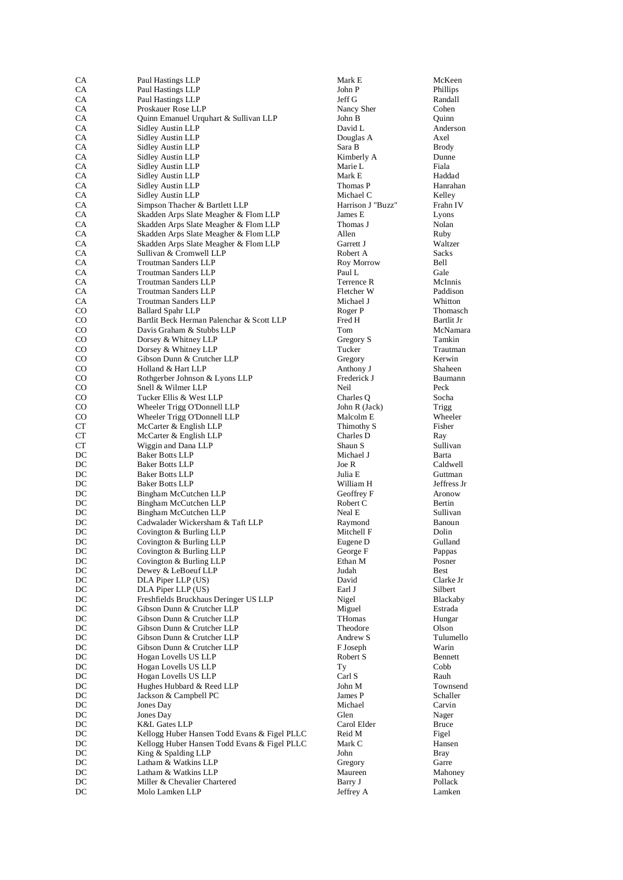| СA               | Paul Hastings LLP                                                              | Mark E               | McKeen               |
|------------------|--------------------------------------------------------------------------------|----------------------|----------------------|
| CA               | Paul Hastings LLP                                                              | John P               | Phillips             |
| CA               | Paul Hastings LLP                                                              | Jeff G               | Randall              |
| ${\rm CA}$<br>CA | Proskauer Rose LLP<br>Quinn Emanuel Urquhart & Sullivan LLP                    | Nancy Sher<br>John B | Cohen<br>Quinn       |
| CA               | Sidley Austin LLP                                                              | David L              | Anderson             |
| CA               | Sidley Austin LLP                                                              | Douglas A            | Axel                 |
| CA               | Sidley Austin LLP                                                              | Sara B               | <b>Brody</b>         |
| CA               | Sidley Austin LLP                                                              | Kimberly A           | Dunne                |
| CA               | Sidley Austin LLP                                                              | Marie L              | Fiala                |
| ${\rm CA}$       | Sidley Austin LLP                                                              | Mark E               | Haddad               |
| CA               | <b>Sidley Austin LLP</b>                                                       | Thomas P             | Hanrahan             |
| CA               | Sidley Austin LLP                                                              | Michael C            | Kelley               |
| CA               | Simpson Thacher & Bartlett LLP                                                 | Harrison J "Buzz"    | Frahn IV             |
| CA               | Skadden Arps Slate Meagher & Flom LLP                                          | James E<br>Thomas J  | Lyons                |
| CA<br>${\rm CA}$ | Skadden Arps Slate Meagher & Flom LLP<br>Skadden Arps Slate Meagher & Flom LLP | Allen                | Nolan<br>Ruby        |
| ${\rm CA}$       | Skadden Arps Slate Meagher & Flom LLP                                          | Garrett J            | Waltzer              |
| CA               | Sullivan & Cromwell LLP                                                        | Robert A             | <b>Sacks</b>         |
| CA               | Troutman Sanders LLP                                                           | Roy Morrow           | Bell                 |
| CA               | <b>Troutman Sanders LLP</b>                                                    | Paul L               | Gale                 |
| CA               | <b>Troutman Sanders LLP</b>                                                    | Terrence R           | McInnis              |
| CA               | Troutman Sanders LLP                                                           | Fletcher W           | Paddison             |
| CA               | <b>Troutman Sanders LLP</b>                                                    | Michael J            | Whitton              |
| CO               | <b>Ballard Spahr LLP</b>                                                       | Roger P              | Thomasch             |
| CO               | Bartlit Beck Herman Palenchar & Scott LLP                                      | Fred H               | Bartlit Jr           |
| CO               | Davis Graham & Stubbs LLP                                                      | Tom                  | McNamara             |
| CO               | Dorsey & Whitney LLP                                                           | Gregory S            | Tamkin               |
| CO               | Dorsey & Whitney LLP<br>Gibson Dunn & Crutcher LLP                             | Tucker               | Trautman<br>Kerwin   |
| CO<br>CO         | Holland & Hart LLP                                                             | Gregory<br>Anthony J | Shaheen              |
| CO               | Rothgerber Johnson & Lyons LLP                                                 | Frederick J          | Baumann              |
| CO               | Snell & Wilmer LLP                                                             | Neil                 | Peck                 |
| CO               | Tucker Ellis & West LLP                                                        | Charles Q            | Socha                |
| CO               | Wheeler Trigg O'Donnell LLP                                                    | John R (Jack)        | Trigg                |
| CO               | Wheeler Trigg O'Donnell LLP                                                    | Malcolm E            | Wheeler              |
| CT               | McCarter & English LLP                                                         | Thimothy S           | Fisher               |
| CT               | McCarter & English LLP                                                         | Charles D            | Ray                  |
| CT               | Wiggin and Dana LLP                                                            | Shaun S              | Sullivan             |
| DC               | <b>Baker Botts LLP</b>                                                         | Michael J            | Barta                |
| DC<br>DC         | <b>Baker Botts LLP</b><br><b>Baker Botts LLP</b>                               | Joe R<br>Julia E     | Caldwell<br>Guttman  |
| DC               | <b>Baker Botts LLP</b>                                                         | William H            | Jeffress Jr          |
| DC               | Bingham McCutchen LLP                                                          | Geoffrey F           | Aronow               |
| DC               | Bingham McCutchen LLP                                                          | Robert C             | Bertin               |
| DC               | Bingham McCutchen LLP                                                          | Neal E               | Sullivan             |
| DC               | Cadwalader Wickersham & Taft LLP                                               | Raymond              | Banoun               |
| DC               | Covington & Burling LLP                                                        | Mitchell F           | Dolin                |
| DC               | Covington & Burling LLP                                                        | Eugene D             | Gulland              |
| DC               | Covington & Burling LLP                                                        | George F             | Pappas               |
| DC               | Covington & Burling LLP                                                        | Ethan M              | Posner               |
| DC               | Dewey & LeBoeuf LLP                                                            | Judah                | Best                 |
| DC<br>DC         | DLA Piper LLP (US)<br>DLA Piper LLP (US)                                       | David<br>Earl J      | Clarke Jr<br>Silbert |
| DC               | Freshfields Bruckhaus Deringer US LLP                                          | Nigel                | Blackaby             |
| DC               | Gibson Dunn & Crutcher LLP                                                     | Miguel               | Estrada              |
| DC               | Gibson Dunn & Crutcher LLP                                                     | THomas               | Hungar               |
| DC               | Gibson Dunn & Crutcher LLP                                                     | Theodore             | Olson                |
| DC               | Gibson Dunn & Crutcher LLP                                                     | Andrew S             | Tulumello            |
| DC               | Gibson Dunn & Crutcher LLP                                                     | F Joseph             | Warin                |
| DC               | Hogan Lovells US LLP                                                           | Robert S             | Bennett              |
| DC               | Hogan Lovells US LLP                                                           | Тy                   | Cobb                 |
| DC               | Hogan Lovells US LLP                                                           | Carl S               | Rauh                 |
| DC<br>DC         | Hughes Hubbard & Reed LLP                                                      | John M<br>James P    | Townsend<br>Schaller |
| DC               | Jackson & Campbell PC<br>Jones Day                                             | Michael              | Carvin               |
| DC               | Jones Day                                                                      | Glen                 | Nager                |
| DC               | <b>K&amp;L Gates LLP</b>                                                       | Carol Elder          | Bruce                |
| $_{\mathrm{DC}}$ | Kellogg Huber Hansen Todd Evans & Figel PLLC                                   | Reid M               | Figel                |
| DC               | Kellogg Huber Hansen Todd Evans & Figel PLLC                                   | Mark C               | Hansen               |
| DC               | King & Spalding LLP                                                            | John                 | Bray                 |
| DC               | Latham & Watkins LLP                                                           | Gregory              | Garre                |
| DC               | Latham & Watkins LLP                                                           | Maureen              | Mahoney              |
| DC               | Miller & Chevalier Chartered                                                   | Barry J              | Pollack              |
| DC               | Molo Lamken LLP                                                                | Jeffrey A            | Lamken               |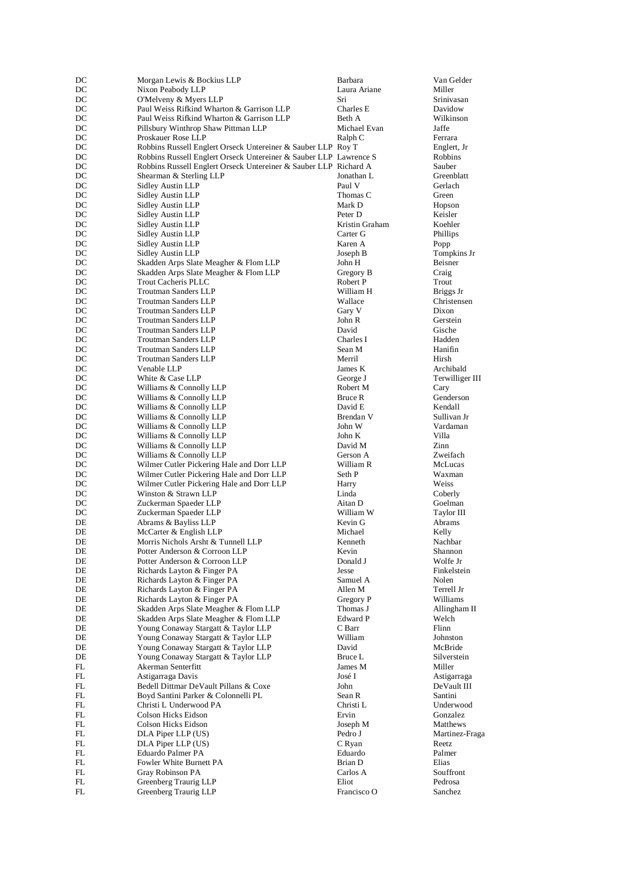| DC       | Morgan Lewis & Bockius LLP                                                       | Barbara               | Van Gelder              |
|----------|----------------------------------------------------------------------------------|-----------------------|-------------------------|
| DC       | Nixon Peabody LLP                                                                | Laura Ariane          | Miller                  |
| DC       | O'Melveny & Myers LLP                                                            | Sri                   | Srinivasan              |
| DC       | Paul Weiss Rifkind Wharton & Garrison LLP                                        | Charles E<br>Beth A   | Davidow                 |
| DC<br>DC | Paul Weiss Rifkind Wharton & Garrison LLP<br>Pillsbury Winthrop Shaw Pittman LLP | Michael Evan          | Wilkinson<br>Jaffe      |
| DC       | Proskauer Rose LLP                                                               | Ralph C               | Ferrara                 |
| DC       | Robbins Russell Englert Orseck Untereiner & Sauber LLP Roy T                     |                       | Englert, Jr             |
| DC       | Robbins Russell Englert Orseck Untereiner & Sauber LLP Lawrence S                |                       | Robbins                 |
| DC       | Robbins Russell Englert Orseck Untereiner & Sauber LLP Richard A                 |                       | Sauber                  |
| DC       | Shearman & Sterling LLP                                                          | Jonathan L            | Greenblatt              |
| DC       | <b>Sidley Austin LLP</b>                                                         | Paul V                | Gerlach                 |
| DC       | Sidley Austin LLP                                                                | Thomas C              | Green                   |
| DC       | Sidley Austin LLP                                                                | Mark D                | Hopson                  |
| DC       | Sidley Austin LLP                                                                | Peter D               | Keisler                 |
| DC       | <b>Sidley Austin LLP</b>                                                         | Kristin Graham        | Koehler                 |
| DC       | Sidley Austin LLP                                                                | Carter G              | Phillips                |
| DC       | Sidley Austin LLP                                                                | Karen A               | Popp                    |
| DC       | Sidley Austin LLP                                                                | Joseph B              | Tompkins J              |
| DC<br>DC | Skadden Arps Slate Meagher & Flom LLP                                            | John H                | Beisner                 |
| DC       | Skadden Arps Slate Meagher & Flom LLP<br><b>Trout Cacheris PLLC</b>              | Gregory B<br>Robert P | Craig<br>Trout          |
| DC       | <b>Troutman Sanders LLP</b>                                                      | William H             | Briggs Jr               |
| DC       | <b>Troutman Sanders LLP</b>                                                      | Wallace               | Christensen             |
| DC       | <b>Troutman Sanders LLP</b>                                                      | Gary V                | Dixon                   |
| DC       | <b>Troutman Sanders LLP</b>                                                      | John R                | Gerstein                |
| DC       | <b>Troutman Sanders LLP</b>                                                      | David                 | Gische                  |
| DC       | <b>Troutman Sanders LLP</b>                                                      | Charles I             | Hadden                  |
| DC       | Troutman Sanders LLP                                                             | Sean M                | Hanifin                 |
| DC       | <b>Troutman Sanders LLP</b>                                                      | Merril                | Hirsh                   |
| DC       | Venable LLP                                                                      | James K               | Archibald               |
| DC       | White & Case LLP                                                                 | George J              | Terwilliger             |
| DC       | Williams & Connolly LLP                                                          | Robert M              | Cary                    |
| DC       | Williams & Connolly LLP                                                          | Bruce R               | Genderson               |
| DC       | Williams & Connolly LLP                                                          | David E               | Kendall                 |
| DC<br>DC | Williams & Connolly LLP<br>Williams & Connolly LLP                               | Brendan V<br>John W   | Sullivan Jr<br>Vardaman |
| DC       | Williams & Connolly LLP                                                          | John K                | Villa                   |
| DC       | Williams & Connolly LLP                                                          | David M               | Zinn                    |
| DC       | Williams & Connolly LLP                                                          | Gerson A              | Zweifach                |
| DC       | Wilmer Cutler Pickering Hale and Dorr LLP                                        | William R             | McLucas                 |
| DC       | Wilmer Cutler Pickering Hale and Dorr LLP                                        | Seth P                | Waxman                  |
| DC       | Wilmer Cutler Pickering Hale and Dorr LLP                                        | Harry                 | Weiss                   |
| DC       | Winston & Strawn LLP                                                             | Linda                 | Coberly                 |
| DC       | Zuckerman Spaeder LLP                                                            | Aitan D               | Goelman                 |
| DC       | Zuckerman Spaeder LLP                                                            | William W             | Taylor III              |
| DE       | Abrams & Bayliss LLP                                                             | Kevin G               | Abrams                  |
| DE       | McCarter & English LLP                                                           | Michael               | Kelly                   |
| DE       | Morris Nichols Arsht & Tunnell LLP                                               | Kenneth               | Nachbar                 |
| DE       | Potter Anderson & Corroon LLP                                                    | Kevin                 | Shannon                 |
| DE<br>DE | Potter Anderson & Corroon LLP<br>Richards Layton & Finger PA                     | Donald J<br>Jesse     | Wolfe Jr<br>Finkelstein |
| DE       | Richards Layton & Finger PA                                                      | Samuel A              | Nolen                   |
| DE       | Richards Layton & Finger PA                                                      | Allen M               | Terrell Jr              |
| DE       | Richards Layton & Finger PA                                                      | Gregory P             | Williams                |
| DE       | Skadden Arps Slate Meagher & Flom LLP                                            | Thomas J              | Allingham               |
| DE       | Skadden Arps Slate Meagher & Flom LLP                                            | Edward P              | Welch                   |
| DE       | Young Conaway Stargatt & Taylor LLP                                              | C Barr                | Flinn                   |
| DE       | Young Conaway Stargatt & Taylor LLP                                              | William               | Johnston                |
| DE       | Young Conaway Stargatt & Taylor LLP                                              | David                 | McBride                 |
| DE       | Young Conaway Stargatt & Taylor LLP                                              | Bruce L               | Silverstein             |
| FL       | Akerman Senterfitt                                                               | James M               | Miller                  |
| FL       | Astigarraga Davis                                                                | José I                | Astigarraga             |
| FL       | Bedell Dittmar DeVault Pillans & Coxe                                            | John                  | DeVault III             |
| FL       | Boyd Santini Parker & Colonnelli PL                                              | Sean R                | Santini                 |
| FL       | Christi L Underwood PA                                                           | Christi L             | Underwood               |
| FL       | Colson Hicks Eidson                                                              | Ervin                 | Gonzalez                |
| FL<br>FL | Colson Hicks Eidson<br>DLA Piper LLP (US)                                        | Joseph M<br>Pedro J   | Matthews<br>Martinez-Fi |
| FL       | DLA Piper LLP (US)                                                               | C Ryan                | Reetz                   |
| FL       | Eduardo Palmer PA                                                                | Eduardo               | Palmer                  |
| FL       | Fowler White Burnett PA                                                          | Brian D               | Elias                   |
| FL       | Gray Robinson PA                                                                 | Carlos A              | Souffront               |
| FL       | Greenberg Traurig LLP                                                            | Eliot                 | Pedrosa                 |
| FL       | Greenberg Traurig LLP                                                            | Francisco O           | Sanchez                 |
|          |                                                                                  |                       |                         |

Tompkins Jr Terwilliger III<br>Cary<br>Genderson Allingham II Martinez-Fraga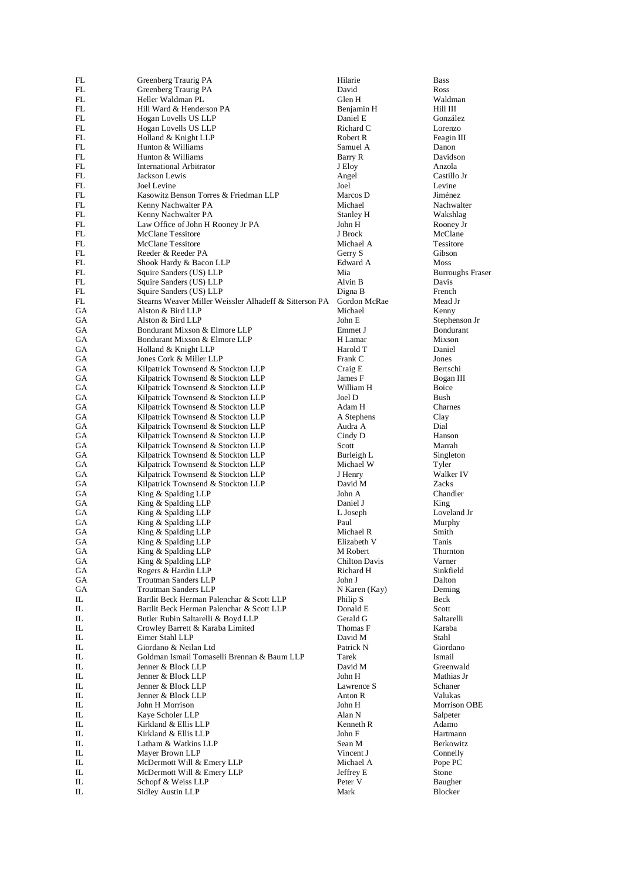| FL       | Greenberg Traurig PA                                                     | Hilarie            | <b>Bass</b>           |
|----------|--------------------------------------------------------------------------|--------------------|-----------------------|
| FL       | Greenberg Traurig PA                                                     | David              | Ross                  |
| FL       | Heller Waldman PL                                                        | Glen H             | Waldman               |
| FL       | Hill Ward & Henderson PA                                                 | Benjamin H         | Hill III              |
| FL       | Hogan Lovells US LLP                                                     | Daniel E           | González              |
| FL       | Hogan Lovells US LLP                                                     | Richard C          | Lorenzo               |
| FL       | Holland & Knight LLP                                                     | Robert R           | Feagin III            |
| FL       | Hunton & Williams                                                        | Samuel A           | Danon                 |
| FL       | Hunton & Williams                                                        | Barry R            | Davidson              |
| FL       | International Arbitrator                                                 | J Eloy             | Anzola<br>Castillo Jr |
| FL<br>FL | Jackson Lewis<br>Joel Levine                                             | Angel<br>Joel      | Levine                |
| FL       | Kasowitz Benson Torres & Friedman LLP                                    | Marcos D           | Jiménez               |
| FL       | Kenny Nachwalter PA                                                      | Michael            | Nachwalter            |
| FL       | Kenny Nachwalter PA                                                      | Stanley H          | Wakshlag              |
| FL       | Law Office of John H Rooney Jr PA                                        | John H             | Rooney Jr             |
| FL       | <b>McClane Tessitore</b>                                                 | J Brock            | McClane               |
| FL       | <b>McClane Tessitore</b>                                                 | Michael A          | Tessitore             |
| FL       | Reeder & Reeder PA                                                       | Gerry S            | Gibson                |
| FL       | Shook Hardy & Bacon LLP                                                  | Edward A           | Moss                  |
| FL       | Squire Sanders (US) LLP                                                  | Mia                | <b>Burroughs</b>      |
| FL       | Squire Sanders (US) LLP                                                  | Alvin B            | Davis                 |
| FL       | Squire Sanders (US) LLP                                                  | Digna B            | French                |
| FL       | Stearns Weaver Miller Weissler Alhadeff & Sitterson PA                   | Gordon McRae       | Mead Jr               |
| GA       | Alston & Bird LLP                                                        | Michael            | Kenny                 |
| GA       | Alston & Bird LLP                                                        | John E             | Stephenson            |
| GA       | Bondurant Mixson & Elmore LLP                                            | Emmet J            | Bondurant             |
| GA       | Bondurant Mixson & Elmore LLP                                            | H Lamar            | Mixson                |
| GA       | Holland & Knight LLP                                                     | Harold T           | Daniel                |
| GA       | Jones Cork & Miller LLP                                                  | Frank C            | Jones                 |
| GA       | Kilpatrick Townsend & Stockton LLP                                       | Craig E            | Bertschi              |
| GA       | Kilpatrick Townsend & Stockton LLP                                       | James F            | Bogan III             |
| GA       | Kilpatrick Townsend & Stockton LLP                                       | William H          | <b>Boice</b>          |
| GA       | Kilpatrick Townsend & Stockton LLP                                       | Joel D             | Bush                  |
| GA       | Kilpatrick Townsend & Stockton LLP                                       | Adam H             | Charnes               |
| GA       | Kilpatrick Townsend & Stockton LLP                                       | A Stephens         | Clay                  |
| GA<br>GА | Kilpatrick Townsend & Stockton LLP<br>Kilpatrick Townsend & Stockton LLP | Audra A<br>Cindy D | Dial<br>Hanson        |
| GA       | Kilpatrick Townsend & Stockton LLP                                       | Scott              | Marrah                |
| GA       | Kilpatrick Townsend & Stockton LLP                                       | Burleigh L         | Singleton             |
| GA       | Kilpatrick Townsend & Stockton LLP                                       | Michael W          | Tyler                 |
| GA       | Kilpatrick Townsend & Stockton LLP                                       | J Henry            | Walker IV             |
| GA       | Kilpatrick Townsend & Stockton LLP                                       | David M            | Zacks                 |
| GA       | King & Spalding LLP                                                      | John A             | Chandler              |
| GA       | King & Spalding LLP                                                      | Daniel J           | King                  |
| GA       | King & Spalding LLP                                                      | L Joseph           | Loveland J            |
| GA       | King & Spalding LLP                                                      | Paul               | Murphy                |
| GA       | King & Spalding LLP                                                      | Michael R          | Smith                 |
| GA       | King & Spalding LLP                                                      | Elizabeth V        | Tanis                 |
| GA       | King & Spalding LLP                                                      | M Robert           | Thornton              |
| GA       | King & Spalding LLP                                                      | Chilton Davis      | Varner                |
| GА       | Rogers & Hardin LLP                                                      | Richard H          | Sinkfield             |
| GA       | <b>Troutman Sanders LLP</b>                                              | John J             | Dalton                |
| GA       | <b>Troutman Sanders LLP</b>                                              | N Karen (Kay)      | Deming                |
| IL       | Bartlit Beck Herman Palenchar & Scott LLP                                | Philip S           | Beck                  |
| IL       | Bartlit Beck Herman Palenchar & Scott LLP                                | Donald E           | Scott                 |
| IL       | Butler Rubin Saltarelli & Boyd LLP                                       | Gerald G           | Saltarelli            |
| IL       | Crowley Barrett & Karaba Limited                                         | Thomas F           | Karaba                |
| IL       | Eimer Stahl LLP                                                          | David M            | Stahl                 |
| IL       | Giordano & Neilan Ltd                                                    | Patrick N          | Giordano              |
| IL       | Goldman Ismail Tomaselli Brennan & Baum LLP                              | Tarek              | Ismail                |
| IL       | Jenner & Block LLP                                                       | David M            | Greenwald             |
| IL       | Jenner & Block LLP                                                       | John H             | Mathias Jr            |
| IL       | Jenner & Block LLP                                                       | Lawrence S         | Schaner               |
| IL       | Jenner & Block LLP                                                       | Anton R            | Valukas<br>Morrison C |
| IL<br>IL | John H Morrison<br>Kaye Scholer LLP                                      | John H<br>Alan N   | Salpeter              |
| IL       | Kirkland & Ellis LLP                                                     | Kenneth R          | Adamo                 |
| IL       | Kirkland & Ellis LLP                                                     | John F             | Hartmann              |
| IL       | Latham & Watkins LLP                                                     | Sean M             | Berkowitz             |
| IL       | Mayer Brown LLP                                                          | Vincent J          | Connelly              |
| IL       | McDermott Will & Emery LLP                                               | Michael A          | Pope PC               |
| IL       | McDermott Will & Emery LLP                                               | Jeffrey E          | Stone                 |
| IL       | Schopf & Weiss LLP                                                       | Peter V            | Baugher               |
| IL       | Sidley Austin LLP                                                        | Mark               | Blocker               |
|          |                                                                          |                    |                       |

Burroughs Fraser<br>Davis Stephenson Jr<br>Bondurant Loveland Jr<br>Murphy Morrison OBE<br>Salpeter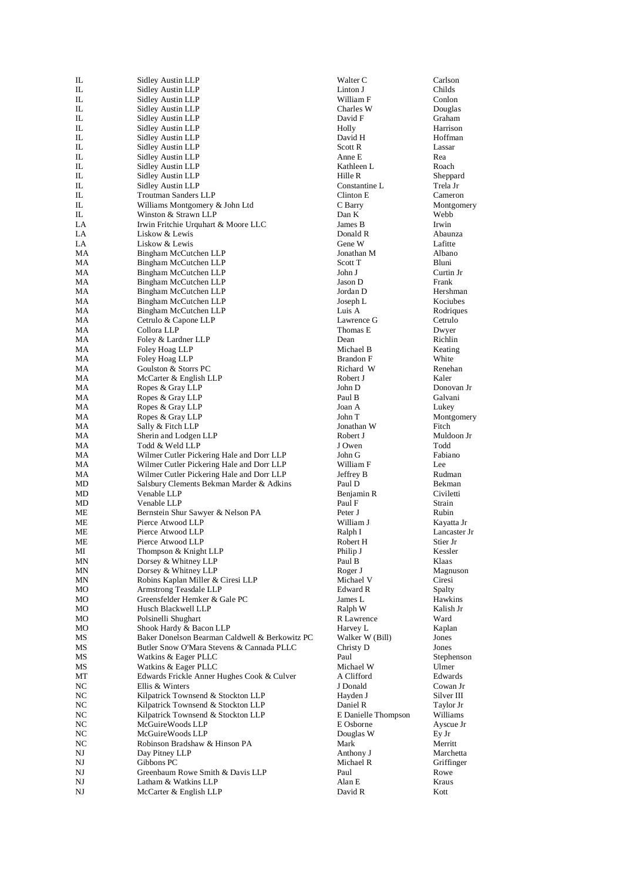| IL       | Sidley Austin LLP                                           | Walter C               | Carlson              |
|----------|-------------------------------------------------------------|------------------------|----------------------|
| IL       | Sidley Austin LLP                                           | Linton J               | Childs               |
| IL       | Sidley Austin LLP                                           | William F              | Conlon               |
| IL<br>IL | Sidley Austin LLP                                           | Charles W<br>David F   | Douglas<br>Graham    |
| IL       | Sidley Austin LLP<br>Sidley Austin LLP                      | Holly                  | Harrison             |
| IL       | Sidley Austin LLP                                           | David H                | Hoffman              |
| IL       | Sidley Austin LLP                                           | Scott R                | Lassar               |
| IL       | Sidley Austin LLP                                           | Anne E                 | Rea                  |
| IL       | Sidley Austin LLP                                           | Kathleen L             | Roach                |
| IL       | Sidley Austin LLP                                           | Hille R                | Sheppard             |
| IL       | <b>Sidley Austin LLP</b>                                    | Constantine L          | Trela Jr             |
| IL       | Troutman Sanders LLP                                        | Clinton E              | Cameron              |
| IL       | Williams Montgomery & John Ltd                              | C Barry                | Montgomer            |
| IL       | Winston & Strawn LLP                                        | Dan K                  | Webb                 |
| LA       | Irwin Fritchie Urquhart & Moore LLC                         | James B                | Irwin                |
| LA       | Liskow & Lewis                                              | Donald R               | Abaunza              |
| LA       | Liskow & Lewis                                              | Gene W                 | Lafitte              |
| MA       | Bingham McCutchen LLP                                       | Jonathan M             | Albano               |
| MA       | Bingham McCutchen LLP                                       | Scott T                | Bluni                |
| MA<br>MA | Bingham McCutchen LLP<br>Bingham McCutchen LLP              | John J<br>Jason D      | Curtin Jr<br>Frank   |
| MA       | Bingham McCutchen LLP                                       | Jordan D               | Hershman             |
| МA       | Bingham McCutchen LLP                                       | Joseph L               | Kociubes             |
| MA       | Bingham McCutchen LLP                                       | Luis A                 | Rodrigues            |
| МA       | Cetrulo & Capone LLP                                        | Lawrence G             | Cetrulo              |
| МA       | Collora LLP                                                 | Thomas E               | Dwyer                |
| MA       | Foley & Lardner LLP                                         | Dean                   | Richlin              |
| MA       | Foley Hoag LLP                                              | Michael B              | Keating              |
| MA       | Foley Hoag LLP                                              | <b>Brandon</b> F       | White                |
| МA       | Goulston & Storrs PC                                        | Richard W              | Renehan              |
| МA       | McCarter & English LLP                                      | Robert J               | Kaler                |
| MA       | Ropes & Gray LLP                                            | John D                 | Donovan Jr           |
| МA       | Ropes & Gray LLP                                            | Paul B                 | Galvani              |
| МA       | Ropes & Gray LLP                                            | Joan A                 | Lukey                |
| MA       | Ropes & Gray LLP                                            | John T                 | Montgomer            |
| MA       | Sally & Fitch LLP                                           | Jonathan W             | Fitch                |
| MA<br>MA | Sherin and Lodgen LLP<br>Todd & Weld LLP                    | Robert J<br>J Owen     | Muldoon Jr<br>Todd   |
| MA       | Wilmer Cutler Pickering Hale and Dorr LLP                   | John G                 | Fabiano              |
| MA       | Wilmer Cutler Pickering Hale and Dorr LLP                   | William F              | Lee                  |
| MA       | Wilmer Cutler Pickering Hale and Dorr LLP                   | Jeffrey B              | Rudman               |
| MD       | Salsbury Clements Bekman Marder & Adkins                    | Paul D                 | Bekman               |
| MD       | Venable LLP                                                 | Benjamin R             | Civiletti            |
| MD       | Venable LLP                                                 | Paul F                 | Strain               |
| MЕ       | Bernstein Shur Sawyer & Nelson PA                           | Peter J                | Rubin                |
| MЕ       | Pierce Atwood LLP                                           | William J              | Kayatta Jr           |
| МE       | Pierce Atwood LLP                                           | Ralph I                | Lancaster J          |
| MЕ       | Pierce Atwood LLP                                           | Robert H               | Stier Jr             |
| МI       | Thompson & Knight LLP                                       | Philip J               | Kessler              |
| MΝ       | Dorsey & Whitney LLP                                        | Paul B                 | Klaas                |
| MΝ       | Dorsey & Whitney LLP                                        | Roger J                | Magnuson             |
| MΝ<br>МO | Robins Kaplan Miller & Ciresi LLP<br>Armstrong Teasdale LLP | Michael V<br>Edward R  | Ciresi<br>Spalty     |
| МO       | Greensfelder Hemker & Gale PC                               | James L                | Hawkins              |
| МO       | Husch Blackwell LLP                                         | Ralph W                | Kalish Jr            |
| МO       | Polsinelli Shughart                                         | R Lawrence             | Ward                 |
| MО       | Shook Hardy & Bacon LLP                                     | Harvey L               | Kaplan               |
| MS       | Baker Donelson Bearman Caldwell & Berkowitz PC              | Walker W (Bill)        | Jones                |
| МS       | Butler Snow O'Mara Stevens & Cannada PLLC                   | Christy D              | Jones                |
| MS       | Watkins & Eager PLLC                                        | Paul                   | Stephenson           |
| MS       | Watkins & Eager PLLC                                        | Michael W              | Ulmer                |
| МT       | Edwards Frickle Anner Hughes Cook & Culver                  | A Clifford             | Edwards              |
| NC       | Ellis & Winters                                             | J Donald               | Cowan Jr             |
| NC       | Kilpatrick Townsend & Stockton LLP                          | Hayden J               | Silver III           |
| NC       | Kilpatrick Townsend & Stockton LLP                          | Daniel R               | Taylor Jr            |
| NC       | Kilpatrick Townsend & Stockton LLP                          | E Danielle Thompson    | Williams             |
| NC       | McGuireWoods LLP                                            | E Osborne              | Ayscue Jr            |
| NC       | McGuireWoods LLP                                            | Douglas W              | Ey Jr                |
| NC       | Robinson Bradshaw & Hinson PA<br>Day Pitney LLP             | Mark                   | Merritt<br>Marchetta |
| NJ<br>NJ | Gibbons PC                                                  | Anthony J<br>Michael R | Griffinger           |
| NJ       | Greenbaum Rowe Smith & Davis LLP                            | Paul                   | Rowe                 |
| NJ       | Latham & Watkins LLP                                        | Alan E                 | Kraus                |
| NJ       | McCarter & English LLP                                      | David R                | Kott                 |
|          |                                                             |                        |                      |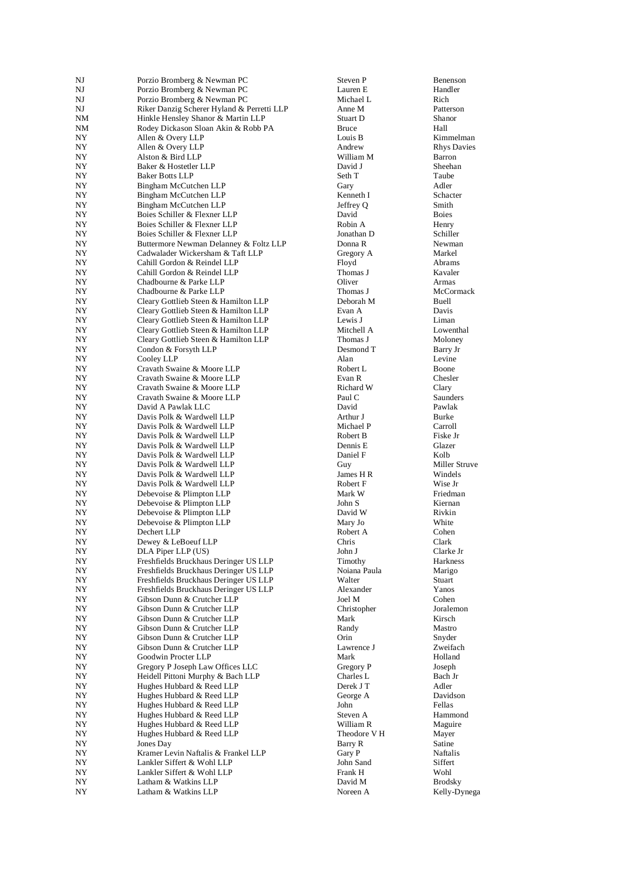|          | Porzio Bromberg & Newman PC                  | Steven P                | Benenson                      |
|----------|----------------------------------------------|-------------------------|-------------------------------|
| NJ       | Porzio Bromberg & Newman PC                  | Lauren E                | Handler                       |
| NJ       | Porzio Bromberg & Newman PC                  | Michael L               | Rich                          |
| NJ       | Riker Danzig Scherer Hyland & Perretti LLP   | Anne M                  | Patterson                     |
| NΜ       | Hinkle Hensley Shanor & Martin LLP           | Stuart D                | Shanor                        |
| NΜ       | Rodey Dickason Sloan Akin & Robb PA          | <b>Bruce</b>            | Hall                          |
| NΥ       | Allen & Overy LLP                            | Louis B                 | Kimmelman                     |
| NΥ       | Allen & Overy LLP                            | Andrew                  | <b>Rhys Davies</b>            |
| NY       | Alston & Bird LLP                            | William M               | Barron                        |
| NΥ       | Baker & Hostetler LLP                        | David J                 | Sheehan                       |
| NY       | <b>Baker Botts LLP</b>                       | Seth T                  | Taube                         |
| NY       | Bingham McCutchen LLP                        | Gary                    | Adler                         |
| NY       | Bingham McCutchen LLP                        | Kenneth I               | Schacter                      |
| NY       | Bingham McCutchen LLP                        | Jeffrey Q               | Smith                         |
| NY       | Boies Schiller & Flexner LLP                 | David                   | <b>Boies</b>                  |
| NY       | Boies Schiller & Flexner LLP                 | Robin A                 | Henry                         |
| NΥ       | Boies Schiller & Flexner LLP                 | Jonathan D              | Schiller                      |
| NY       | Buttermore Newman Delanney & Foltz LLP       | Donna R                 | Newman                        |
| NY       | Cadwalader Wickersham & Taft LLP             | Gregory A               | Markel                        |
| NY       | Cahill Gordon & Reindel LLP                  | Floyd                   | Abrams                        |
| NΥ       | Cahill Gordon & Reindel LLP                  | Thomas J                | Kavaler                       |
| NY       | Chadbourne & Parke LLP                       | Oliver                  | Armas                         |
| NΥ       | Chadbourne & Parke LLP                       | Thomas J                | McCormack                     |
| NΥ       | Cleary Gottlieb Steen & Hamilton LLP         | Deborah M               | Buell                         |
| NΥ       | Cleary Gottlieb Steen & Hamilton LLP         | Evan A                  | Davis                         |
| NY       | Cleary Gottlieb Steen & Hamilton LLP         | Lewis J                 | Liman                         |
| NY       | Cleary Gottlieb Steen & Hamilton LLP         | Mitchell A              | Lowenthal                     |
| NY       | Cleary Gottlieb Steen & Hamilton LLP         | Thomas J                | Moloney                       |
| NY       | Condon & Forsyth LLP                         | Desmond T               | Barry Jr                      |
| NY       | Cooley LLP                                   | Alan                    | Levine                        |
| NY       | Cravath Swaine & Moore LLP                   | Robert L                | Boone                         |
| NΥ       | Cravath Swaine & Moore LLP                   | Evan R                  | Chesler                       |
| NY       | Cravath Swaine & Moore LLP                   | Richard W               | Clary                         |
| NΥ       | Cravath Swaine & Moore LLP                   | Paul C                  | <b>Saunders</b>               |
| NY       | David A Pawlak LLC                           | David                   | Pawlak                        |
| NΥ       | Davis Polk & Wardwell LLP                    | Arthur J                | <b>Burke</b>                  |
| NY       | Davis Polk & Wardwell LLP                    | Michael P               | Carroll                       |
| NΥ       | Davis Polk & Wardwell LLP                    | Robert B                | Fiske Jr                      |
| NΥ       | Davis Polk & Wardwell LLP                    | Dennis E                | Glazer                        |
| NY       | Davis Polk & Wardwell LLP                    | Daniel F                | Kolb                          |
| NY       | Davis Polk & Wardwell LLP                    | Guy                     | Miller Struve                 |
| NY       | Davis Polk & Wardwell LLP                    | James H R               | Windels<br>Wise Jr            |
|          |                                              |                         |                               |
| NΥ       | Davis Polk & Wardwell LLP                    | Robert F                |                               |
| NY       | Debevoise & Plimpton LLP                     | Mark W                  | Friedman                      |
| NY       | Debevoise & Plimpton LLP                     | John S                  | Kiernan                       |
| NY       | Debevoise & Plimpton LLP                     | David W                 | Rivkin                        |
| NY       | Debevoise & Plimpton LLP                     | Mary Jo                 | White                         |
| NΥ       | Dechert LLP                                  | Robert A                | Cohen                         |
| NΥ       | Dewey & LeBoeuf LLP                          | Chris                   | Clark                         |
| NY       | DLA Piper LLP (US)                           | John J                  | Clarke Jr                     |
| NY       | Freshfields Bruckhaus Deringer US LLP        | Timothy                 | Harkness                      |
| NY       | Freshfields Bruckhaus Deringer US LLP        | Noiana Paula            | Marigo                        |
| NY       | Freshfields Bruckhaus Deringer US LLP        | Walter                  | Stuart                        |
| NY       | Freshfields Bruckhaus Deringer US LLP        | Alexander               | Yanos                         |
| NY       | Gibson Dunn & Crutcher LLP                   | Joel M                  | Cohen                         |
| NY       | Gibson Dunn & Crutcher LLP                   | Christopher             | Joralemon                     |
| NY       | Gibson Dunn & Crutcher LLP                   | Mark                    | Kirsch                        |
| NY       | Gibson Dunn & Crutcher LLP                   | Randy                   | Mastro                        |
| NΥ       | Gibson Dunn & Crutcher LLP                   | Orin                    | Snyder                        |
| NΥ       | Gibson Dunn & Crutcher LLP                   | Lawrence J              | Zweifach                      |
| NΥ       | Goodwin Procter LLP                          | Mark                    | Holland                       |
| NY       | Gregory P Joseph Law Offices LLC             | Gregory P               | Joseph                        |
| NY       | Heidell Pittoni Murphy & Bach LLP            | Charles L               | Bach Jr                       |
| NΥ       | Hughes Hubbard & Reed LLP                    | Derek J T               | Adler                         |
| NY       | Hughes Hubbard & Reed LLP                    | George A                | Davidson                      |
| NY       | Hughes Hubbard & Reed LLP                    | John                    | Fellas                        |
| NY       | Hughes Hubbard & Reed LLP                    | Steven A                | Hammond                       |
| NY       | Hughes Hubbard & Reed LLP                    | William R               | Maguire                       |
| NY       | Hughes Hubbard & Reed LLP                    | Theodore V <sub>H</sub> | Mayer                         |
| NY       | Jones Day                                    | Barry R                 | Satine                        |
| NY       | Kramer Levin Naftalis & Frankel LLP          | Gary P                  | Naftalis                      |
| NY       | Lankler Siffert & Wohl LLP                   | John Sand               | Siffert                       |
| NΥ       | Lankler Siffert & Wohl LLP                   | Frank H                 | Wohl                          |
| NY<br>NY | Latham & Watkins LLP<br>Latham & Watkins LLP | David M<br>Noreen A     | <b>Brodsky</b><br>Kelly-Dyneg |

Kelly-Dynega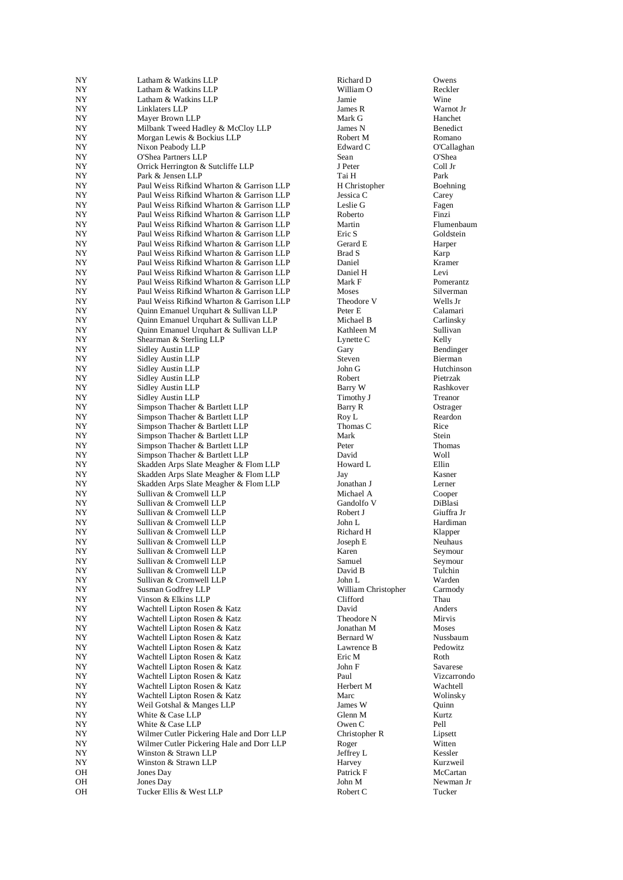| NY               | Latham & Watkins LLP                      | Richard D           | Owens       |
|------------------|-------------------------------------------|---------------------|-------------|
| NY               | Latham & Watkins LLP                      | William O           | Reckler     |
| NY               | Latham & Watkins LLP                      | Jamie               | Wine        |
| NY               | Linklaters LLP                            | James R             | Warnot Jr   |
| NY               | Mayer Brown LLP                           | Mark G              | Hanchet     |
| NY               | Milbank Tweed Hadley & McCloy LLP         | James N             | Benedict    |
| NY               | Morgan Lewis & Bockius LLP                | Robert M            | Romano      |
| NY               | Nixon Peabody LLP                         | Edward C            | O'Callaghan |
| NY               | O'Shea Partners LLP                       | Sean                | O'Shea      |
|                  | Orrick Herrington & Sutcliffe LLP         | J Peter             | Coll Jr     |
| NY               |                                           |                     |             |
| NY               | Park & Jensen LLP                         | Tai H               | Park        |
| NY               | Paul Weiss Rifkind Wharton & Garrison LLP | H Christopher       | Boehning    |
| NY               | Paul Weiss Rifkind Wharton & Garrison LLP | Jessica C           | Carey       |
| NY               | Paul Weiss Rifkind Wharton & Garrison LLP | Leslie G            | Fagen       |
| NY               | Paul Weiss Rifkind Wharton & Garrison LLP | Roberto             | Finzi       |
| NY               | Paul Weiss Rifkind Wharton & Garrison LLP | Martin              | Flumenbaun  |
| NΥ               | Paul Weiss Rifkind Wharton & Garrison LLP | Eric S              | Goldstein   |
| NY               | Paul Weiss Rifkind Wharton & Garrison LLP | Gerard E            | Harper      |
| NY               | Paul Weiss Rifkind Wharton & Garrison LLP | Brad S              | Karp        |
| NY               | Paul Weiss Rifkind Wharton & Garrison LLP | Daniel              | Kramer      |
|                  |                                           |                     |             |
| NY               | Paul Weiss Rifkind Wharton & Garrison LLP | Daniel H            | Levi        |
| NΥ               | Paul Weiss Rifkind Wharton & Garrison LLP | Mark F              | Pomerantz   |
| NΥ               | Paul Weiss Rifkind Wharton & Garrison LLP | Moses               | Silverman   |
| NΥ               | Paul Weiss Rifkind Wharton & Garrison LLP | Theodore V          | Wells Jr    |
| NY               | Quinn Emanuel Urquhart & Sullivan LLP     | Peter E             | Calamari    |
| NΥ               | Quinn Emanuel Urquhart & Sullivan LLP     | Michael B           | Carlinsky   |
| NY               | Quinn Emanuel Urquhart & Sullivan LLP     | Kathleen M          | Sullivan    |
| NY               | Shearman & Sterling LLP                   | Lynette C           | Kelly       |
| NY               | Sidley Austin LLP                         | Gary                | Bendinger   |
| NY               | Sidley Austin LLP                         | Steven              | Bierman     |
|                  |                                           |                     | Hutchinson  |
| NY               | Sidley Austin LLP                         | John G              |             |
| NY               | Sidley Austin LLP                         | Robert              | Pietrzak    |
| NY               | Sidley Austin LLP                         | Barry W             | Rashkover   |
| NΥ               | Sidley Austin LLP                         | Timothy J           | Treanor     |
| NY               | Simpson Thacher & Bartlett LLP            | Barry R             | Ostrager    |
| NY               | Simpson Thacher & Bartlett LLP            | Roy L               | Reardon     |
| NY               | Simpson Thacher & Bartlett LLP            | Thomas C            | Rice        |
| NY               | Simpson Thacher & Bartlett LLP            | Mark                | Stein       |
| NΥ               | Simpson Thacher & Bartlett LLP            | Peter               | Thomas      |
| NY               | Simpson Thacher & Bartlett LLP            | David               | Woll        |
| NY               | Skadden Arps Slate Meagher & Flom LLP     | Howard L            | Ellin       |
|                  |                                           |                     |             |
| NY               | Skadden Arps Slate Meagher & Flom LLP     | Jay                 | Kasner      |
| NY               | Skadden Arps Slate Meagher & Flom LLP     | Jonathan J          | Lerner      |
| NY               | Sullivan & Cromwell LLP                   | Michael A           | Cooper      |
| NY               | Sullivan & Cromwell LLP                   | Gandolfo V          | DiBlasi     |
| NY               | Sullivan & Cromwell LLP                   | Robert J            | Giuffra Jr  |
| NY               | Sullivan & Cromwell LLP                   | John L              | Hardiman    |
| NΥ               | Sullivan & Cromwell LLP                   | Richard H           | Klapper     |
| NY               | Sullivan & Cromwell LLP                   | Joseph E            | Neuhaus     |
| NY               | Sullivan & Cromwell LLP                   | Karen               | Seymour     |
| NΥ               | Sullivan & Cromwell LLP                   | Samuel              | Seymour     |
|                  | Sullivan & Cromwell LLP                   |                     | Tulchin     |
| NΥ               |                                           | David B             |             |
| NY               | Sullivan & Cromwell LLP                   | John L              | Warden      |
| NY               | Susman Godfrey LLP                        | William Christopher | Carmody     |
| NY               | Vinson & Elkins LLP                       | Clifford            | Thau        |
| NY               | Wachtell Lipton Rosen & Katz              | David               | Anders      |
| NY               | Wachtell Lipton Rosen & Katz              | Theodore N          | Mirvis      |
| NY               | Wachtell Lipton Rosen & Katz              | Jonathan M          | Moses       |
| NY               | Wachtell Lipton Rosen & Katz              | Bernard W           | Nussbaum    |
| NY               | Wachtell Lipton Rosen & Katz              | Lawrence B          | Pedowitz    |
| NY               | Wachtell Lipton Rosen & Katz              | Eric M              | Roth        |
| $_{\mathrm{NY}}$ | Wachtell Lipton Rosen & Katz              | John F              | Savarese    |
|                  |                                           |                     |             |
| NY               | Wachtell Lipton Rosen & Katz              | Paul                | Vizcarrondo |
| NY               | Wachtell Lipton Rosen & Katz              | Herbert M           | Wachtell    |
| NY               | Wachtell Lipton Rosen & Katz              | Marc                | Wolinsky    |
| NY               | Weil Gotshal & Manges LLP                 | James W             | Quinn       |
| NY               | White & Case LLP                          | Glenn M             | Kurtz       |
| NY               | White & Case LLP                          | Owen C              | Pell        |
| NY               | Wilmer Cutler Pickering Hale and Dorr LLP | Christopher R       | Lipsett     |
| NY               | Wilmer Cutler Pickering Hale and Dorr LLP | Roger               | Witten      |
| NY               | Winston & Strawn LLP                      | Jeffrey L           | Kessler     |
|                  | Winston & Strawn LLP                      |                     |             |
| NY               |                                           | Harvey              | Kurzweil    |
| OН               | Jones Day                                 | Patrick F           | McCartan    |
| OH               | Jones Day                                 | John M              | Newman Jr   |
| OН               | Tucker Ellis & West LLP                   | Robert C            | Tucker      |
|                  |                                           |                     |             |

Flumenbaum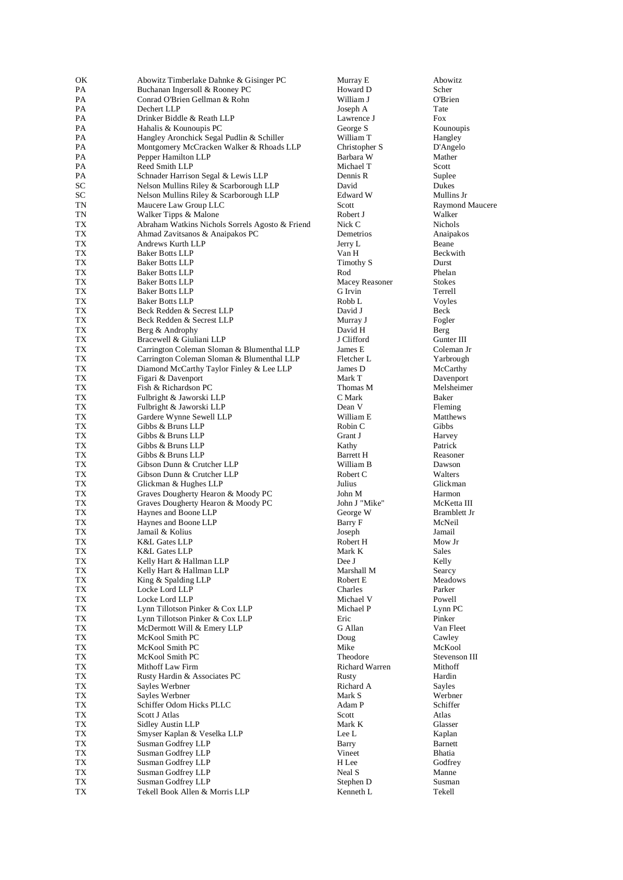| ОK       | Abowitz Timberlake Dahnke & Gisinger PC                                            | Murray E               | Abowitz                  |
|----------|------------------------------------------------------------------------------------|------------------------|--------------------------|
| PA       | Buchanan Ingersoll & Rooney PC                                                     | Howard D               | Scher                    |
| PA       | Conrad O'Brien Gellman & Rohn                                                      | William J              | O'Brien                  |
| PA<br>PA | Dechert LLP                                                                        | Joseph A               | Tate<br><b>Fox</b>       |
| PA       | Drinker Biddle & Reath LLP<br>Hahalis & Kounoupis PC                               | Lawrence J<br>George S | Kounoupis                |
| PA       | Hangley Aronchick Segal Pudlin & Schiller                                          | William T              | Hangley                  |
| PA       | Montgomery McCracken Walker & Rhoads LLP                                           | Christopher S          | D'Angelo                 |
| PA       | Pepper Hamilton LLP                                                                | Barbara W              | Mather                   |
| PA       | Reed Smith LLP                                                                     | Michael T              | Scott                    |
| PA       | Schnader Harrison Segal & Lewis LLP                                                | Dennis R               | Suplee                   |
| SС       | Nelson Mullins Riley & Scarborough LLP                                             | David                  | Dukes                    |
| SC       | Nelson Mullins Riley & Scarborough LLP                                             | Edward W               | Mullins Jr               |
| TN       | Maucere Law Group LLC                                                              | Scott                  | Raymond M                |
| TN       | Walker Tipps & Malone                                                              | Robert J               | Walker                   |
| ТX<br>TX | Abraham Watkins Nichols Sorrels Agosto & Friend<br>Ahmad Zavitsanos & Anaipakos PC | Nick C<br>Demetrios    | Nichols<br>Anaipakos     |
| TХ       | Andrews Kurth LLP                                                                  | Jerry L                | Beane                    |
| TX       | <b>Baker Botts LLP</b>                                                             | Van H                  | Beckwith                 |
| ТX       | <b>Baker Botts LLP</b>                                                             | Timothy S              | Durst                    |
| TX       | <b>Baker Botts LLP</b>                                                             | Rod                    | Phelan                   |
| TX       | <b>Baker Botts LLP</b>                                                             | Macey Reasoner         | <b>Stokes</b>            |
| ТX       | <b>Baker Botts LLP</b>                                                             | G Irvin                | Terrell                  |
| ТX       | <b>Baker Botts LLP</b>                                                             | Robb L                 | Voyles                   |
| ТX       | Beck Redden & Secrest LLP                                                          | David J                | Beck                     |
| ТX       | Beck Redden & Secrest LLP                                                          | Murray J               | Fogler                   |
| ТX       | Berg & Androphy<br>Bracewell & Giuliani LLP                                        | David H<br>J Clifford  | Berg                     |
| ТX<br>TX | Carrington Coleman Sloman & Blumenthal LLP                                         | James E                | Gunter III<br>Coleman Jr |
| ТX       | Carrington Coleman Sloman & Blumenthal LLP                                         | Fletcher L             | Yarbrough                |
| ТX       | Diamond McCarthy Taylor Finley & Lee LLP                                           | James D                | McCarthy                 |
| TX       | Figari & Davenport                                                                 | Mark T                 | Davenport                |
| TX       | Fish & Richardson PC                                                               | Thomas M               | Melsheimer               |
| ТX       | Fulbright & Jaworski LLP                                                           | C Mark                 | Baker                    |
| TХ       | Fulbright & Jaworski LLP                                                           | Dean V                 | Fleming                  |
| ТX       | Gardere Wynne Sewell LLP                                                           | William E              | Matthews                 |
| TХ       | Gibbs & Bruns LLP                                                                  | Robin C                | Gibbs                    |
| ТX<br>TX | Gibbs & Bruns LLP<br>Gibbs & Bruns LLP                                             | Grant J<br>Kathy       | Harvey<br>Patrick        |
| ТX       | Gibbs & Bruns LLP                                                                  | <b>Barrett H</b>       | Reasoner                 |
| ТX       | Gibson Dunn & Crutcher LLP                                                         | William B              | Dawson                   |
| ТX       | Gibson Dunn & Crutcher LLP                                                         | Robert C               | Walters                  |
| ТX       | Glickman & Hughes LLP                                                              | Julius                 | Glickman                 |
| TX       | Graves Dougherty Hearon & Moody PC                                                 | John M                 | Harmon                   |
| ТX       | Graves Dougherty Hearon & Moody PC                                                 | John J "Mike"          | McKetta III              |
| ТX       | Haynes and Boone LLP                                                               | George W               | Bramblett Jr             |
| ТX<br>TX | Haynes and Boone LLP<br>Jamail & Kolius                                            | Barry F<br>Joseph      | McNeil<br>Jamail         |
| TX       | <b>K&amp;L Gates LLP</b>                                                           | Robert H               | Mow Jr                   |
| TX       | <b>K&amp;L Gates LLP</b>                                                           | Mark K                 | Sales                    |
| TX       | Kelly Hart & Hallman LLP                                                           | Dee J                  | Kelly                    |
| TX       | Kelly Hart & Hallman LLP                                                           | Marshall M             | Searcy                   |
| TX       | King & Spalding LLP                                                                | Robert E               | Meadows                  |
| TX       | Locke Lord LLP                                                                     | Charles                | Parker                   |
| TX       | Locke Lord LLP                                                                     | Michael V              | Powell                   |
| TX       | Lynn Tillotson Pinker & Cox LLP                                                    | Michael P              | Lynn PC                  |
| TX       | Lynn Tillotson Pinker & Cox LLP<br>McDermott Will & Emery LLP                      | Eric                   | Pinker                   |
| TX<br>TX | McKool Smith PC                                                                    | G Allan<br>Doug        | Van Fleet<br>Cawley      |
| TX       | McKool Smith PC                                                                    | Mike                   | McKool                   |
| TX       | McKool Smith PC                                                                    | Theodore               | Stevenson Il             |
| TX       | Mithoff Law Firm                                                                   | <b>Richard Warren</b>  | Mithoff                  |
| TX       | Rusty Hardin & Associates PC                                                       | Rusty                  | Hardin                   |
| TX       | Sayles Werbner                                                                     | Richard A              | Sayles                   |
| TX       | Sayles Werbner                                                                     | Mark S                 | Werbner                  |
| TX       | Schiffer Odom Hicks PLLC                                                           | Adam P                 | Schiffer                 |
| TX       | Scott J Atlas                                                                      | Scott                  | Atlas                    |
| TX       | Sidley Austin LLP                                                                  | Mark K                 | Glasser                  |
| TX<br>TX | Smyser Kaplan & Veselka LLP<br>Susman Godfrey LLP                                  | Lee L<br>Barry         | Kaplan<br>Barnett        |
| TX       | Susman Godfrey LLP                                                                 | Vineet                 | Bhatia                   |
| TX       | Susman Godfrey LLP                                                                 | H Lee                  | Godfrey                  |
| TX       | Susman Godfrey LLP                                                                 | Neal S                 | Manne                    |
| TX       | Susman Godfrey LLP                                                                 | Stephen D              | Susman                   |
| TX       | Tekell Book Allen & Morris LLP                                                     | Kenneth L              | Tekell                   |

Lawrence J Fox Pharmacher S<br>
Part Mather Mather<br>
Mather Scott Raymond Maucere<br>
Robert J Walker Timothy S Durst Macey Reasoner Stokes<br>G Irvin Terrell Robin C Gibbs John J "Mike" McKetta III Robert H Mow Jr Marshall M Searcy Theodore Stevenson III<br>
Richard Warren Mithoff Richard Warren Stephen D Susman Kenneth L<br>Tekell